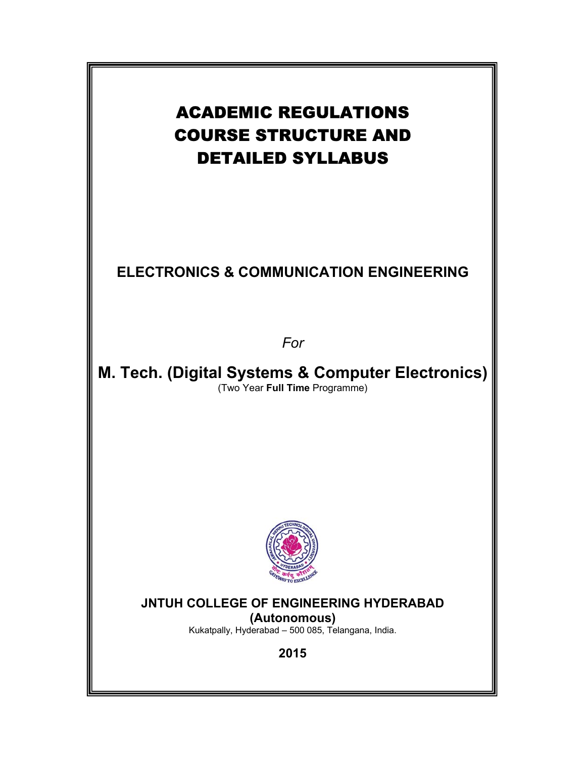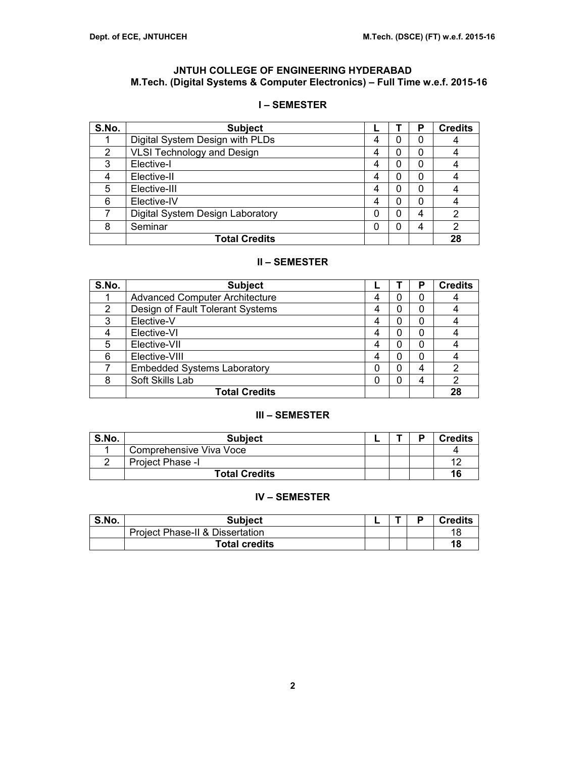## **JNTUH COLLEGE OF ENGINEERING HYDERABAD M.Tech. (Digital Systems & Computer Electronics) – Full Time w.e.f. 2015-16**

## **I – SEMESTER**

| S.No. | <b>Subject</b>                    |   |   | Р | <b>Credits</b> |
|-------|-----------------------------------|---|---|---|----------------|
|       | Digital System Design with PLDs   |   |   | 0 |                |
| 2     | <b>VLSI Technology and Design</b> | 4 |   | 0 |                |
| 3     | Elective-I                        | 4 |   | 0 |                |
|       | Elective-II                       | 4 |   | 0 |                |
| 5     | Elective-III                      | 4 |   | 0 |                |
| 6     | Elective-IV                       | 4 |   | 0 |                |
|       | Digital System Design Laboratory  | 0 | n | 4 | 2              |
| 8     | Seminar                           |   |   | 4 | 2              |
|       | <b>Total Credits</b>              |   |   |   | 28             |

## **II – SEMESTER**

| S.No. | <b>Subject</b>                        |   | Р | <b>Credits</b> |
|-------|---------------------------------------|---|---|----------------|
|       | <b>Advanced Computer Architecture</b> | 0 | 0 |                |
| 2     | Design of Fault Tolerant Systems      | 0 | 0 |                |
| 3     | Elective-V                            | 0 | 0 |                |
|       | Elective-VI                           |   | 0 |                |
| 5     | Elective-VII                          | Ω | 0 |                |
| 6     | Elective-VIII                         | 0 | 0 |                |
|       | <b>Embedded Systems Laboratory</b>    | 0 | 4 | 2              |
| 8     | Soft Skills Lab                       | 0 | 4 | 2              |
|       | <b>Total Credits</b>                  |   |   | 28             |

### **III – SEMESTER**

| S.No. | <b>Subject</b>          |  | D | <b>Credits</b>       |
|-------|-------------------------|--|---|----------------------|
|       | Comprehensive Viva Voce |  |   |                      |
|       | Project Phase -I        |  |   | $\ddot{\phantom{1}}$ |
|       | <b>Total Credits</b>    |  |   | 16                   |

## **IV – SEMESTER**

| S.No. | Subject                                    |  | <b>Credits</b> |
|-------|--------------------------------------------|--|----------------|
|       | <b>Project Phase-II &amp; Dissertation</b> |  | 18             |
|       | <b>Total credits</b>                       |  | 18             |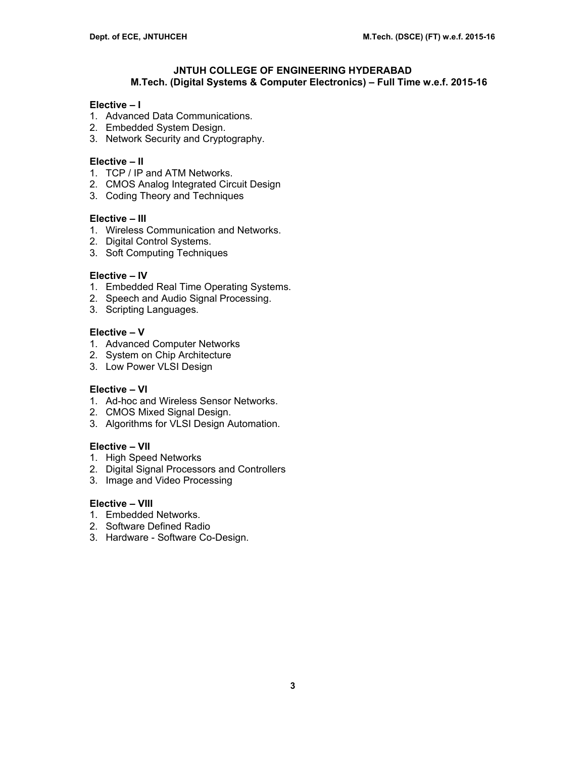## **JNTUH COLLEGE OF ENGINEERING HYDERABAD M.Tech. (Digital Systems & Computer Electronics) – Full Time w.e.f. 2015-16**

### **Elective – I**

- 1. Advanced Data Communications.
- 2. Embedded System Design.
- 3. Network Security and Cryptography.

### **Elective – II**

- 1. TCP / IP and ATM Networks.
- 2. CMOS Analog Integrated Circuit Design
- 3. Coding Theory and Techniques

#### **Elective – III**

- 1. Wireless Communication and Networks.
- 2. Digital Control Systems.
- 3. Soft Computing Techniques

### **Elective – IV**

- 1. Embedded Real Time Operating Systems.
- 2. Speech and Audio Signal Processing.
- 3. Scripting Languages.

### **Elective – V**

- 1. Advanced Computer Networks
- 2. System on Chip Architecture
- 3. Low Power VLSI Design

## **Elective – VI**

- 1. Ad-hoc and Wireless Sensor Networks.
- 2. CMOS Mixed Signal Design.
- 3. Algorithms for VLSI Design Automation.

#### **Elective – VII**

- 1. High Speed Networks
- 2. Digital Signal Processors and Controllers
- 3. Image and Video Processing

### **Elective – VIII**

- 1. Embedded Networks.
- 2. Software Defined Radio
- 3. Hardware Software Co-Design.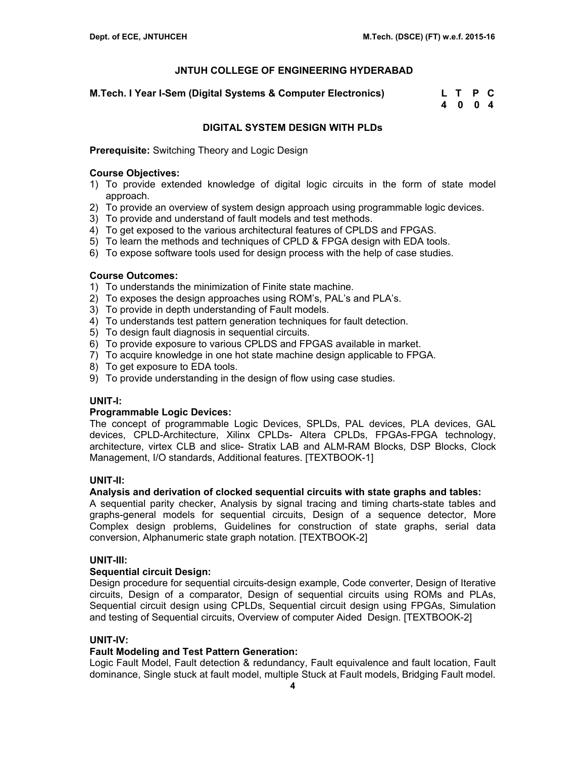**M.Tech. I Year I-Sem (Digital Systems & Computer Electronics) L T P C** 

 **4 0 0 4** 

## **DIGITAL SYSTEM DESIGN WITH PLDs**

**Prerequisite:** Switching Theory and Logic Design

### **Course Objectives:**

- 1) To provide extended knowledge of digital logic circuits in the form of state model approach.
- 2) To provide an overview of system design approach using programmable logic devices.
- 3) To provide and understand of fault models and test methods.
- 4) To get exposed to the various architectural features of CPLDS and FPGAS.
- 5) To learn the methods and techniques of CPLD & FPGA design with EDA tools.
- 6) To expose software tools used for design process with the help of case studies.

## **Course Outcomes:**

- 1) To understands the minimization of Finite state machine.
- 2) To exposes the design approaches using ROM's, PAL's and PLA's.
- 3) To provide in depth understanding of Fault models.
- 4) To understands test pattern generation techniques for fault detection.
- 5) To design fault diagnosis in sequential circuits.
- 6) To provide exposure to various CPLDS and FPGAS available in market.
- 7) To acquire knowledge in one hot state machine design applicable to FPGA.
- 8) To get exposure to EDA tools.
- 9) To provide understanding in the design of flow using case studies.

### **UNIT-I:**

### **Programmable Logic Devices:**

The concept of programmable Logic Devices, SPLDs, PAL devices, PLA devices, GAL devices, CPLD-Architecture, Xilinx CPLDs- Altera CPLDs, FPGAs-FPGA technology, architecture, virtex CLB and slice- Stratix LAB and ALM-RAM Blocks, DSP Blocks, Clock Management, I/O standards, Additional features. [TEXTBOOK-1]

### **UNIT-II:**

### **Analysis and derivation of clocked sequential circuits with state graphs and tables:**

A sequential parity checker, Analysis by signal tracing and timing charts-state tables and graphs-general models for sequential circuits, Design of a sequence detector, More Complex design problems, Guidelines for construction of state graphs, serial data conversion, Alphanumeric state graph notation. [TEXTBOOK-2]

### **UNIT-III:**

### **Sequential circuit Design:**

Design procedure for sequential circuits-design example, Code converter, Design of Iterative circuits, Design of a comparator, Design of sequential circuits using ROMs and PLAs, Sequential circuit design using CPLDs, Sequential circuit design using FPGAs, Simulation and testing of Sequential circuits, Overview of computer Aided Design. [TEXTBOOK-2]

### **UNIT-IV:**

### **Fault Modeling and Test Pattern Generation:**

Logic Fault Model, Fault detection & redundancy, Fault equivalence and fault location, Fault dominance, Single stuck at fault model, multiple Stuck at Fault models, Bridging Fault model.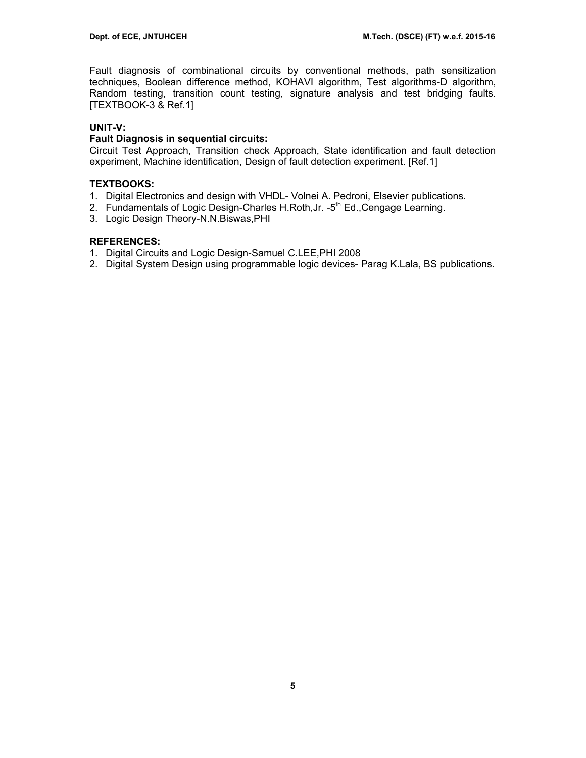Fault diagnosis of combinational circuits by conventional methods, path sensitization techniques, Boolean difference method, KOHAVI algorithm, Test algorithms-D algorithm, Random testing, transition count testing, signature analysis and test bridging faults. [TEXTBOOK-3 & Ref.1]

## **UNIT-V:**

### **Fault Diagnosis in sequential circuits:**

Circuit Test Approach, Transition check Approach, State identification and fault detection experiment, Machine identification, Design of fault detection experiment. [Ref.1]

### **TEXTBOOKS:**

- 1. Digital Electronics and design with VHDL- Volnei A. Pedroni, Elsevier publications.
- 2. Fundamentals of Logic Design-Charles H.Roth, Jr. -5<sup>th</sup> Ed., Cengage Learning.
- 3. Logic Design Theory-N.N.Biswas,PHI

### **REFERENCES:**

- 1. Digital Circuits and Logic Design-Samuel C.LEE,PHI 2008
- 2. Digital System Design using programmable logic devices- Parag K.Lala, BS publications.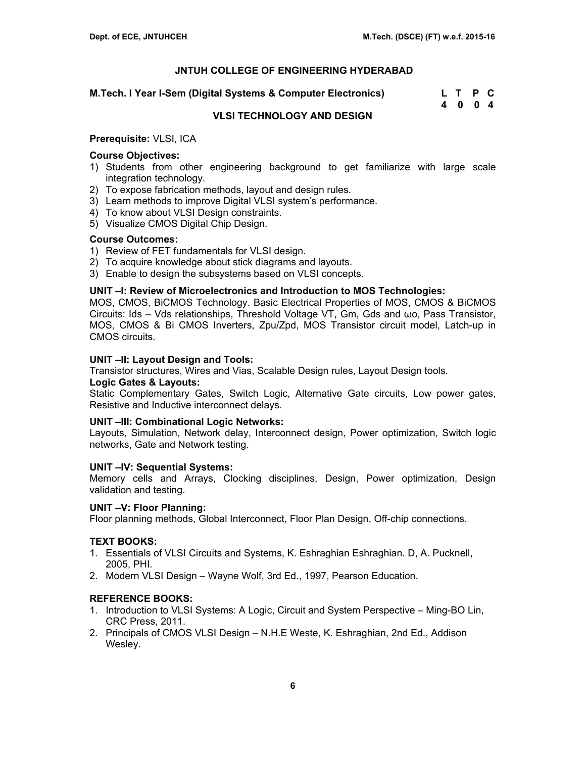**M.Tech. I Year I-Sem (Digital Systems & Computer Electronics) L T P C** 

 **4 0 0 4** 

## **VLSI TECHNOLOGY AND DESIGN**

#### **Prerequisite:** VLSI, ICA

### **Course Objectives:**

- 1) Students from other engineering background to get familiarize with large scale integration technology.
- 2) To expose fabrication methods, layout and design rules.
- 3) Learn methods to improve Digital VLSI system's performance.
- 4) To know about VLSI Design constraints.
- 5) Visualize CMOS Digital Chip Design.

#### **Course Outcomes:**

- 1) Review of FET fundamentals for VLSI design.
- 2) To acquire knowledge about stick diagrams and layouts.
- 3) Enable to design the subsystems based on VLSI concepts.

### **UNIT –I: Review of Microelectronics and Introduction to MOS Technologies:**

MOS, CMOS, BiCMOS Technology. Basic Electrical Properties of MOS, CMOS & BiCMOS Circuits: Ids – Vds relationships, Threshold Voltage VT, Gm, Gds and ωo, Pass Transistor, MOS, CMOS & Bi CMOS Inverters, Zpu/Zpd, MOS Transistor circuit model, Latch-up in CMOS circuits.

### **UNIT –II: Layout Design and Tools:**

Transistor structures, Wires and Vias, Scalable Design rules, Layout Design tools.

#### **Logic Gates & Layouts:**

Static Complementary Gates, Switch Logic, Alternative Gate circuits, Low power gates, Resistive and Inductive interconnect delays.

#### **UNIT –III: Combinational Logic Networks:**

Layouts, Simulation, Network delay, Interconnect design, Power optimization, Switch logic networks, Gate and Network testing.

#### **UNIT –IV: Sequential Systems:**

Memory cells and Arrays, Clocking disciplines, Design, Power optimization, Design validation and testing.

#### **UNIT –V: Floor Planning:**

Floor planning methods, Global Interconnect, Floor Plan Design, Off-chip connections.

### **TEXT BOOKS:**

- 1. Essentials of VLSI Circuits and Systems, K. Eshraghian Eshraghian. D, A. Pucknell, 2005, PHI.
- 2. Modern VLSI Design Wayne Wolf, 3rd Ed., 1997, Pearson Education.

- 1. Introduction to VLSI Systems: A Logic, Circuit and System Perspective Ming-BO Lin, CRC Press, 2011.
- 2. Principals of CMOS VLSI Design N.H.E Weste, K. Eshraghian, 2nd Ed., Addison Wesley.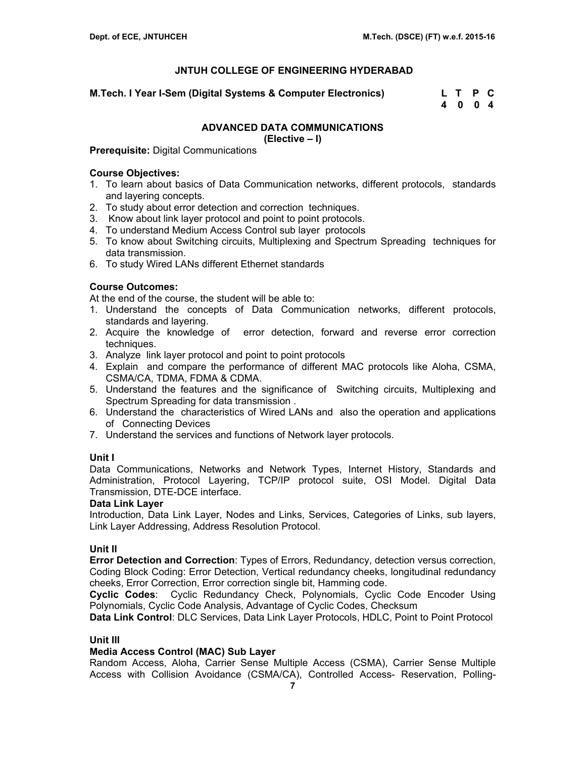**M.Tech. I Year I-Sem (Digital Systems & Computer Electronics) L T P C** 

 **4 0 0 4** 

## **ADVANCED DATA COMMUNICATIONS**

**(Elective – I)** 

**Prerequisite:** Digital Communications

## **Course Objectives:**

- 1. To learn about basics of Data Communication networks, different protocols, standards and layering concepts.
- 2. To study about error detection and correction techniques.
- 3. Know about link layer protocol and point to point protocols.
- 4. To understand Medium Access Control sub layer protocols
- 5. To know about Switching circuits, Multiplexing and Spectrum Spreading techniques for data transmission.
- 6. To study Wired LANs different Ethernet standards

## **Course Outcomes:**

At the end of the course, the student will be able to:

- 1. Understand the concepts of Data Communication networks, different protocols, standards and layering.
- 2. Acquire the knowledge of error detection, forward and reverse error correction techniques.
- 3. Analyze link layer protocol and point to point protocols
- 4. Explain and compare the performance of different MAC protocols like Aloha, CSMA, CSMA/CA, TDMA, FDMA & CDMA.
- 5. Understand the features and the significance of Switching circuits, Multiplexing and Spectrum Spreading for data transmission .
- 6. Understand the characteristics of Wired LANs and also the operation and applications of Connecting Devices
- 7. Understand the services and functions of Network layer protocols.

## **Unit I**

Data Communications, Networks and Network Types, Internet History, Standards and Administration, Protocol Layering, TCP/IP protocol suite, OSI Model. Digital Data Transmission, DTE-DCE interface.

### **Data Link Layer**

Introduction, Data Link Layer, Nodes and Links, Services, Categories of Links, sub layers, Link Layer Addressing, Address Resolution Protocol.

## **Unit II**

**Error Detection and Correction**: Types of Errors, Redundancy, detection versus correction, Coding Block Coding: Error Detection, Vertical redundancy cheeks, longitudinal redundancy cheeks, Error Correction, Error correction single bit, Hamming code.

**Cyclic Codes**: Cyclic Redundancy Check, Polynomials, Cyclic Code Encoder Using Polynomials, Cyclic Code Analysis, Advantage of Cyclic Codes, Checksum

**Data Link Control**: DLC Services, Data Link Layer Protocols, HDLC, Point to Point Protocol

## **Unit III**

### **Media Access Control (MAC) Sub Layer**

Random Access, Aloha, Carrier Sense Multiple Access (CSMA), Carrier Sense Multiple Access with Collision Avoidance (CSMA/CA), Controlled Access- Reservation, Polling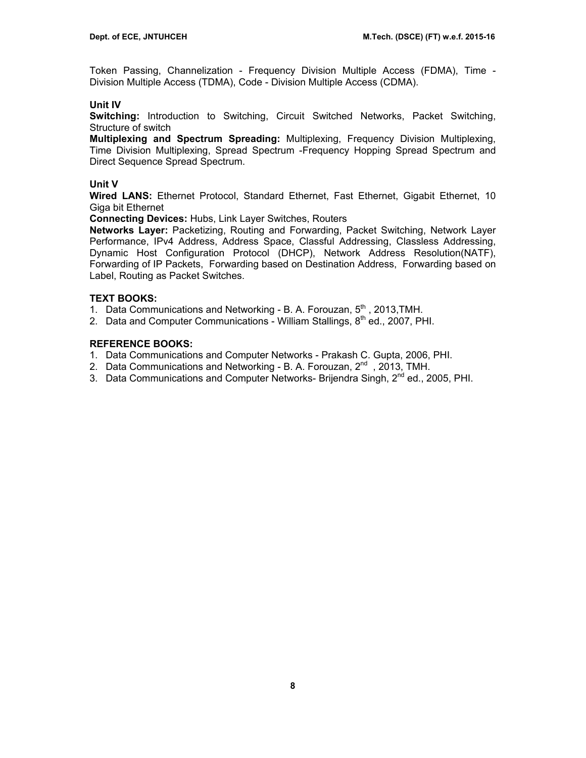Token Passing, Channelization - Frequency Division Multiple Access (FDMA), Time - Division Multiple Access (TDMA), Code - Division Multiple Access (CDMA).

### **Unit IV**

**Switching:** Introduction to Switching, Circuit Switched Networks, Packet Switching, Structure of switch

**Multiplexing and Spectrum Spreading:** Multiplexing, Frequency Division Multiplexing, Time Division Multiplexing, Spread Spectrum -Frequency Hopping Spread Spectrum and Direct Sequence Spread Spectrum.

### **Unit V**

**Wired LANS:** Ethernet Protocol, Standard Ethernet, Fast Ethernet, Gigabit Ethernet, 10 Giga bit Ethernet

**Connecting Devices:** Hubs, Link Layer Switches, Routers

**Networks Layer:** Packetizing, Routing and Forwarding, Packet Switching, Network Layer Performance, IPv4 Address, Address Space, Classful Addressing, Classless Addressing, Dynamic Host Configuration Protocol (DHCP), Network Address Resolution(NATF), Forwarding of IP Packets, Forwarding based on Destination Address, Forwarding based on Label, Routing as Packet Switches.

### **TEXT BOOKS:**

1. Data Communications and Networking - B. A. Forouzan, 5<sup>th</sup>, 2013, TMH.

2. Data and Computer Communications - William Stallings, 8<sup>th</sup> ed., 2007, PHI.

- 1. Data Communications and Computer Networks Prakash C. Gupta, 2006, PHI.
- 2. Data Communications and Networking B. A. Forouzan,  $2^{nd}$ , 2013, TMH.
- 3. Data Communications and Computer Networks- Brijendra Singh, 2<sup>nd</sup> ed., 2005, PHI.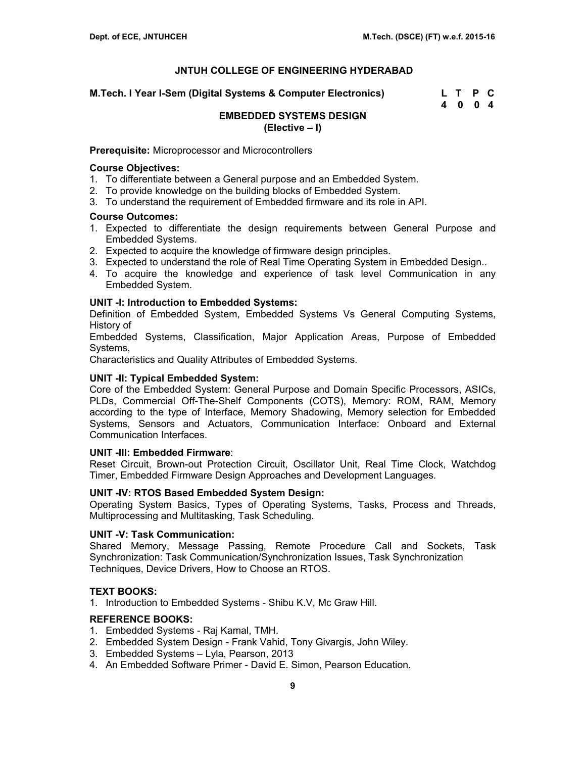**M.Tech. I Year I-Sem (Digital Systems & Computer Electronics) L T P C** 

 **4 0 0 4** 

### **EMBEDDED SYSTEMS DESIGN (Elective – I)**

#### **Prerequisite:** Microprocessor and Microcontrollers

### **Course Objectives:**

- 1. To differentiate between a General purpose and an Embedded System.
- 2. To provide knowledge on the building blocks of Embedded System.
- 3. To understand the requirement of Embedded firmware and its role in API.

### **Course Outcomes:**

- 1. Expected to differentiate the design requirements between General Purpose and Embedded Systems.
- 2. Expected to acquire the knowledge of firmware design principles.
- 3. Expected to understand the role of Real Time Operating System in Embedded Design..
- 4. To acquire the knowledge and experience of task level Communication in any Embedded System.

#### **UNIT -I: Introduction to Embedded Systems:**

Definition of Embedded System, Embedded Systems Vs General Computing Systems, History of

Embedded Systems, Classification, Major Application Areas, Purpose of Embedded Systems,

Characteristics and Quality Attributes of Embedded Systems.

#### **UNIT -II: Typical Embedded System:**

Core of the Embedded System: General Purpose and Domain Specific Processors, ASICs, PLDs, Commercial Off-The-Shelf Components (COTS), Memory: ROM, RAM, Memory according to the type of Interface, Memory Shadowing, Memory selection for Embedded Systems, Sensors and Actuators, Communication Interface: Onboard and External Communication Interfaces.

#### **UNIT -III: Embedded Firmware**:

Reset Circuit, Brown-out Protection Circuit, Oscillator Unit, Real Time Clock, Watchdog Timer, Embedded Firmware Design Approaches and Development Languages.

### **UNIT -IV: RTOS Based Embedded System Design:**

Operating System Basics, Types of Operating Systems, Tasks, Process and Threads, Multiprocessing and Multitasking, Task Scheduling.

#### **UNIT -V: Task Communication:**

Shared Memory, Message Passing, Remote Procedure Call and Sockets, Task Synchronization: Task Communication/Synchronization Issues, Task Synchronization Techniques, Device Drivers, How to Choose an RTOS.

#### **TEXT BOOKS:**

1. Introduction to Embedded Systems - Shibu K.V, Mc Graw Hill.

- 1. Embedded Systems Raj Kamal, TMH.
- 2. Embedded System Design Frank Vahid, Tony Givargis, John Wiley.
- 3. Embedded Systems Lyla, Pearson, 2013
- 4. An Embedded Software Primer David E. Simon, Pearson Education.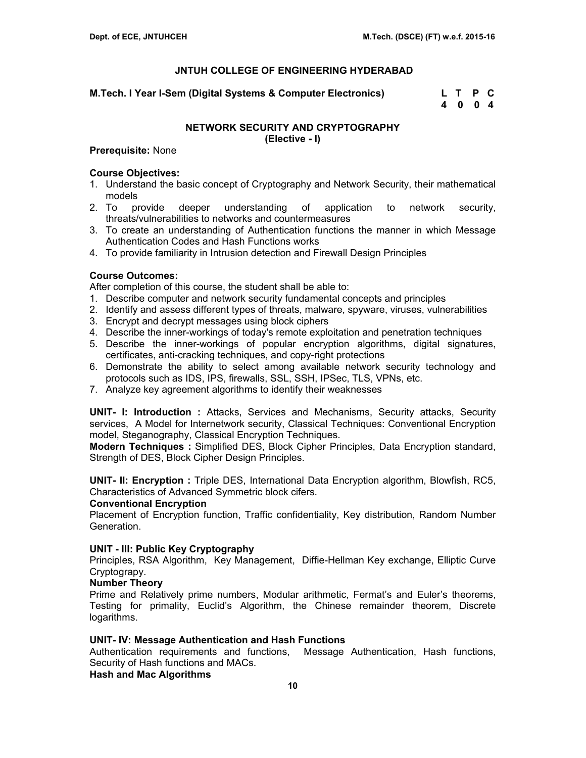**M.Tech. I Year I-Sem (Digital Systems & Computer Electronics) L T P C** 

 **4 0 0 4** 

# **NETWORK SECURITY AND CRYPTOGRAPHY**

**(Elective - I)** 

## **Prerequisite:** None

## **Course Objectives:**

- 1. Understand the basic concept of Cryptography and Network Security, their mathematical models
- 2. To provide deeper understanding of application to network security, threats/vulnerabilities to networks and countermeasures
- 3. To create an understanding of Authentication functions the manner in which Message Authentication Codes and Hash Functions works
- 4. To provide familiarity in Intrusion detection and Firewall Design Principles

## **Course Outcomes:**

After completion of this course, the student shall be able to:

- 1. Describe computer and network security fundamental concepts and principles
- 2. Identify and assess different types of threats, malware, spyware, viruses, vulnerabilities
- 3. Encrypt and decrypt messages using block ciphers
- 4. Describe the inner-workings of today's remote exploitation and penetration techniques
- 5. Describe the inner-workings of popular encryption algorithms, digital signatures, certificates, anti-cracking techniques, and copy-right protections
- 6. Demonstrate the ability to select among available network security technology and protocols such as IDS, IPS, firewalls, SSL, SSH, IPSec, TLS, VPNs, etc.
- 7. Analyze key agreement algorithms to identify their weaknesses

**UNIT- I: Introduction :** Attacks, Services and Mechanisms, Security attacks, Security services, A Model for Internetwork security, Classical Techniques: Conventional Encryption model, Steganography, Classical Encryption Techniques.

**Modern Techniques :** Simplified DES, Block Cipher Principles, Data Encryption standard, Strength of DES, Block Cipher Design Principles.

**UNIT- II: Encryption :** Triple DES, International Data Encryption algorithm, Blowfish, RC5, Characteristics of Advanced Symmetric block cifers.

### **Conventional Encryption**

Placement of Encryption function, Traffic confidentiality, Key distribution, Random Number Generation.

## **UNIT - III: Public Key Cryptography**

Principles, RSA Algorithm, Key Management, Diffie-Hellman Key exchange, Elliptic Curve Cryptograpy.

### **Number Theory**

Prime and Relatively prime numbers, Modular arithmetic, Fermat's and Euler's theorems, Testing for primality, Euclid's Algorithm, the Chinese remainder theorem, Discrete logarithms.

### **UNIT- IV: Message Authentication and Hash Functions**

Authentication requirements and functions, Message Authentication, Hash functions, Security of Hash functions and MACs.

### **Hash and Mac Algorithms**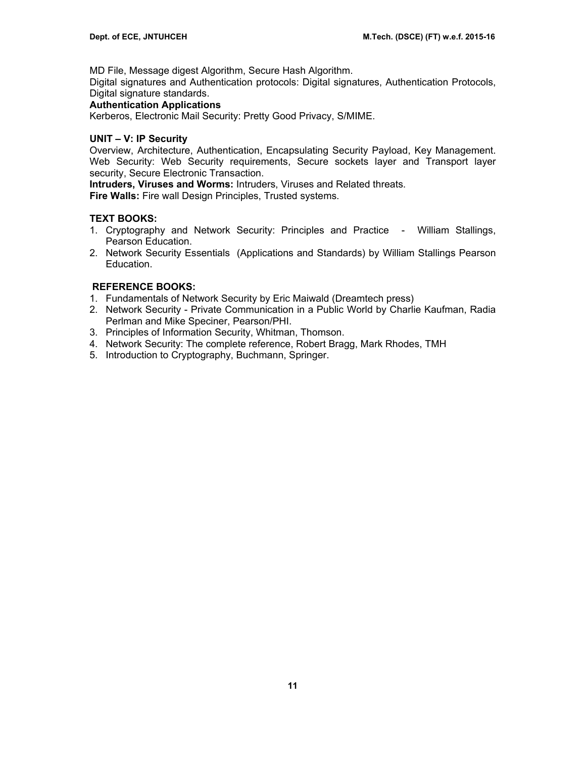MD File, Message digest Algorithm, Secure Hash Algorithm.

Digital signatures and Authentication protocols: Digital signatures, Authentication Protocols, Digital signature standards.

## **Authentication Applications**

Kerberos, Electronic Mail Security: Pretty Good Privacy, S/MIME.

## **UNIT – V: IP Security**

Overview, Architecture, Authentication, Encapsulating Security Payload, Key Management. Web Security: Web Security requirements, Secure sockets layer and Transport layer security, Secure Electronic Transaction.

**Intruders, Viruses and Worms:** Intruders, Viruses and Related threats.

**Fire Walls:** Fire wall Design Principles, Trusted systems.

## **TEXT BOOKS:**

- 1. Cryptography and Network Security: Principles and Practice William Stallings, Pearson Education.
- 2. Network Security Essentials (Applications and Standards) by William Stallings Pearson Education.

- 1. Fundamentals of Network Security by Eric Maiwald (Dreamtech press)
- 2. Network Security Private Communication in a Public World by Charlie Kaufman, Radia Perlman and Mike Speciner, Pearson/PHI.
- 3. Principles of Information Security, Whitman, Thomson.
- 4. Network Security: The complete reference, Robert Bragg, Mark Rhodes, TMH
- 5. Introduction to Cryptography, Buchmann, Springer.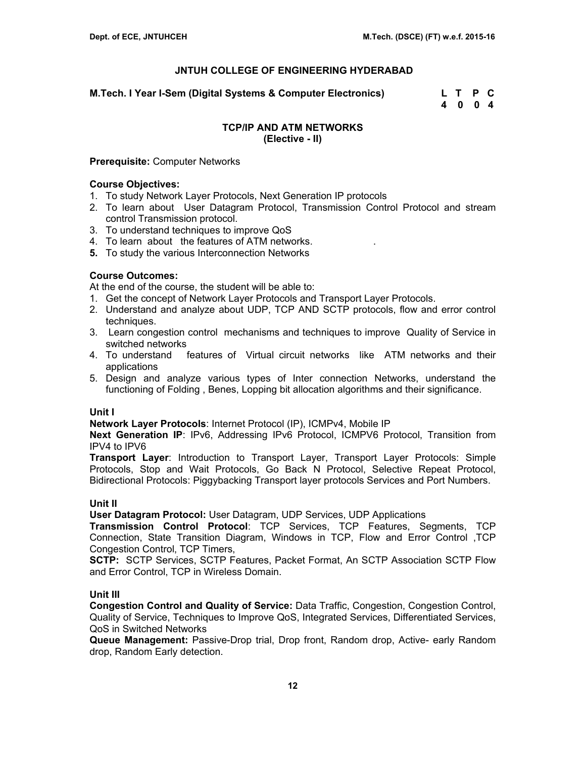**M.Tech. I Year I-Sem (Digital Systems & Computer Electronics) L T P C** 

 **4 0 0 4** 

## **TCP/IP AND ATM NETWORKS (Elective - II)**

## **Prerequisite:** Computer Networks

## **Course Objectives:**

- 1. To study Network Layer Protocols, Next Generation IP protocols
- 2. To learn about User Datagram Protocol, Transmission Control Protocol and stream control Transmission protocol.
- 3. To understand techniques to improve QoS
- 4. To learn about the features of ATM networks. .
- **5.** To study the various Interconnection Networks

## **Course Outcomes:**

At the end of the course, the student will be able to:

- 1. Get the concept of Network Layer Protocols and Transport Layer Protocols.
- 2. Understand and analyze about UDP, TCP AND SCTP protocols, flow and error control techniques.
- 3. Learn congestion control mechanisms and techniques to improve Quality of Service in switched networks
- 4. To understand features of Virtual circuit networks like ATM networks and their applications
- 5. Design and analyze various types of Inter connection Networks, understand the functioning of Folding , Benes, Lopping bit allocation algorithms and their significance.

### **Unit I**

**Network Layer Protocols**: Internet Protocol (IP), ICMPv4, Mobile IP

**Next Generation IP**: IPv6, Addressing IPv6 Protocol, ICMPV6 Protocol, Transition from IPV4 to IPV6

**Transport Layer**: Introduction to Transport Layer, Transport Layer Protocols: Simple Protocols, Stop and Wait Protocols, Go Back N Protocol, Selective Repeat Protocol, Bidirectional Protocols: Piggybacking Transport layer protocols Services and Port Numbers.

### **Unit II**

**User Datagram Protocol:** User Datagram, UDP Services, UDP Applications

**Transmission Control Protocol**: TCP Services, TCP Features, Segments, TCP Connection, State Transition Diagram, Windows in TCP, Flow and Error Control ,TCP Congestion Control, TCP Timers,

**SCTP:** SCTP Services, SCTP Features, Packet Format, An SCTP Association SCTP Flow and Error Control, TCP in Wireless Domain.

## **Unit III**

**Congestion Control and Quality of Service:** Data Traffic, Congestion, Congestion Control, Quality of Service, Techniques to Improve QoS, Integrated Services, Differentiated Services, QoS in Switched Networks

**Queue Management:** Passive-Drop trial, Drop front, Random drop, Active- early Random drop, Random Early detection.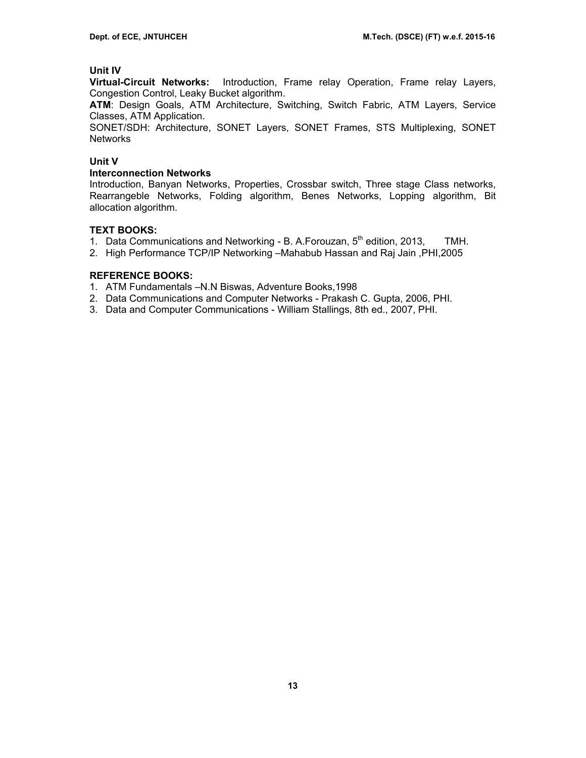## **Unit IV**

**Virtual-Circuit Networks:** Introduction, Frame relay Operation, Frame relay Layers, Congestion Control, Leaky Bucket algorithm.

**ATM**: Design Goals, ATM Architecture, Switching, Switch Fabric, ATM Layers, Service Classes, ATM Application.

SONET/SDH: Architecture, SONET Layers, SONET Frames, STS Multiplexing, SONET **Networks** 

### **Unit V**

### **Interconnection Networks**

Introduction, Banyan Networks, Properties, Crossbar switch, Three stage Class networks, Rearrangeble Networks, Folding algorithm, Benes Networks, Lopping algorithm, Bit allocation algorithm.

### **TEXT BOOKS:**

- 1. Data Communications and Networking B. A. Forouzan,  $5<sup>th</sup>$  edition, 2013, TMH.
- 2. High Performance TCP/IP Networking –Mahabub Hassan and Raj Jain ,PHI,2005

- 1. ATM Fundamentals –N.N Biswas, Adventure Books,1998
- 2. Data Communications and Computer Networks Prakash C. Gupta, 2006, PHI.
- 3. Data and Computer Communications William Stallings, 8th ed., 2007, PHI.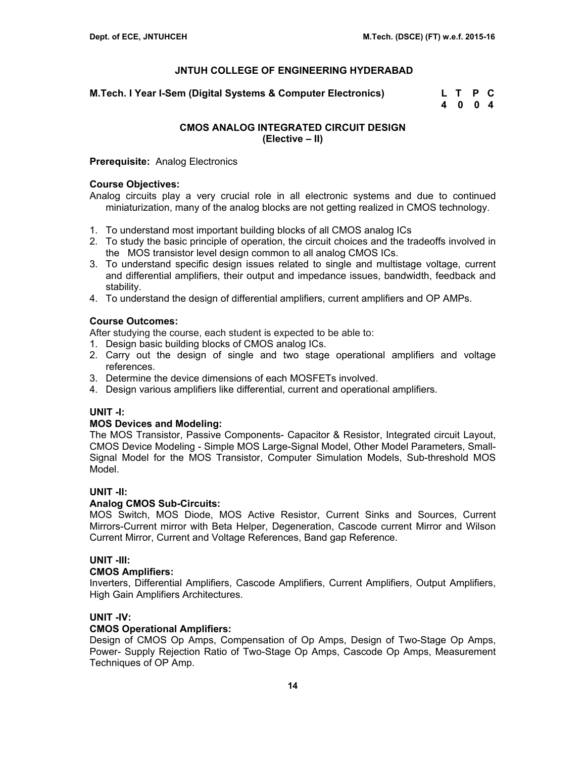**M.Tech. I Year I-Sem (Digital Systems & Computer Electronics) L T P C** 

 **4 0 0 4** 

## **CMOS ANALOG INTEGRATED CIRCUIT DESIGN (Elective – II)**

**Prerequisite:** Analog Electronics

## **Course Objectives:**

Analog circuits play a very crucial role in all electronic systems and due to continued miniaturization, many of the analog blocks are not getting realized in CMOS technology.

- 1. To understand most important building blocks of all CMOS analog ICs
- 2. To study the basic principle of operation, the circuit choices and the tradeoffs involved in the MOS transistor level design common to all analog CMOS ICs.
- 3. To understand specific design issues related to single and multistage voltage, current and differential amplifiers, their output and impedance issues, bandwidth, feedback and stability.
- 4. To understand the design of differential amplifiers, current amplifiers and OP AMPs.

## **Course Outcomes:**

After studying the course, each student is expected to be able to:

- 1. Design basic building blocks of CMOS analog ICs.
- 2. Carry out the design of single and two stage operational amplifiers and voltage references.
- 3. Determine the device dimensions of each MOSFETs involved.
- 4. Design various amplifiers like differential, current and operational amplifiers.

## **UNIT -I:**

## **MOS Devices and Modeling:**

The MOS Transistor, Passive Components- Capacitor & Resistor, Integrated circuit Layout, CMOS Device Modeling - Simple MOS Large-Signal Model, Other Model Parameters, Small-Signal Model for the MOS Transistor, Computer Simulation Models, Sub-threshold MOS Model.

## **UNIT -II:**

## **Analog CMOS Sub-Circuits:**

MOS Switch, MOS Diode, MOS Active Resistor, Current Sinks and Sources, Current Mirrors-Current mirror with Beta Helper, Degeneration, Cascode current Mirror and Wilson Current Mirror, Current and Voltage References, Band gap Reference.

## **UNIT -III:**

### **CMOS Amplifiers:**

Inverters, Differential Amplifiers, Cascode Amplifiers, Current Amplifiers, Output Amplifiers, High Gain Amplifiers Architectures.

## **UNIT -IV:**

### **CMOS Operational Amplifiers:**

Design of CMOS Op Amps, Compensation of Op Amps, Design of Two-Stage Op Amps, Power- Supply Rejection Ratio of Two-Stage Op Amps, Cascode Op Amps, Measurement Techniques of OP Amp.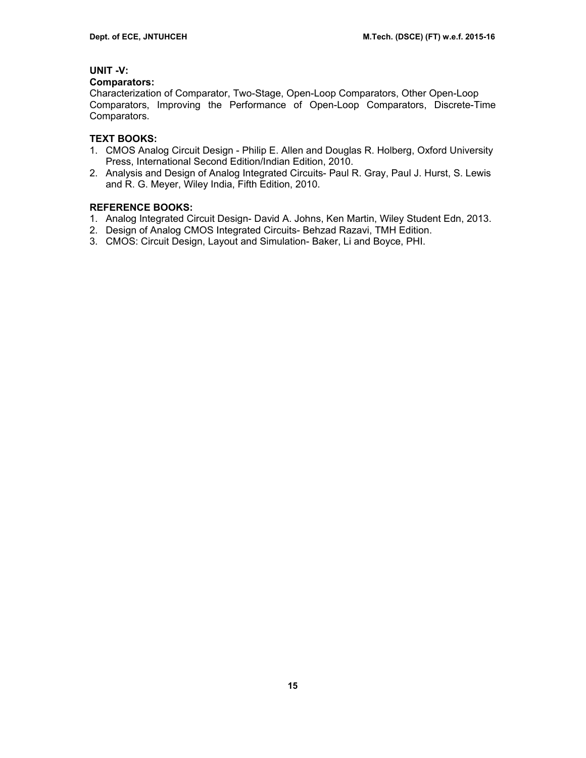## **UNIT -V:**

### **Comparators:**

Characterization of Comparator, Two-Stage, Open-Loop Comparators, Other Open-Loop Comparators, Improving the Performance of Open-Loop Comparators, Discrete-Time Comparators.

## **TEXT BOOKS:**

- 1. CMOS Analog Circuit Design Philip E. Allen and Douglas R. Holberg, Oxford University Press, International Second Edition/Indian Edition, 2010.
- 2. Analysis and Design of Analog Integrated Circuits- Paul R. Gray, Paul J. Hurst, S. Lewis and R. G. Meyer, Wiley India, Fifth Edition, 2010.

- 1. Analog Integrated Circuit Design- David A. Johns, Ken Martin, Wiley Student Edn, 2013.
- 2. Design of Analog CMOS Integrated Circuits- Behzad Razavi, TMH Edition.
- 3. CMOS: Circuit Design, Layout and Simulation- Baker, Li and Boyce, PHI.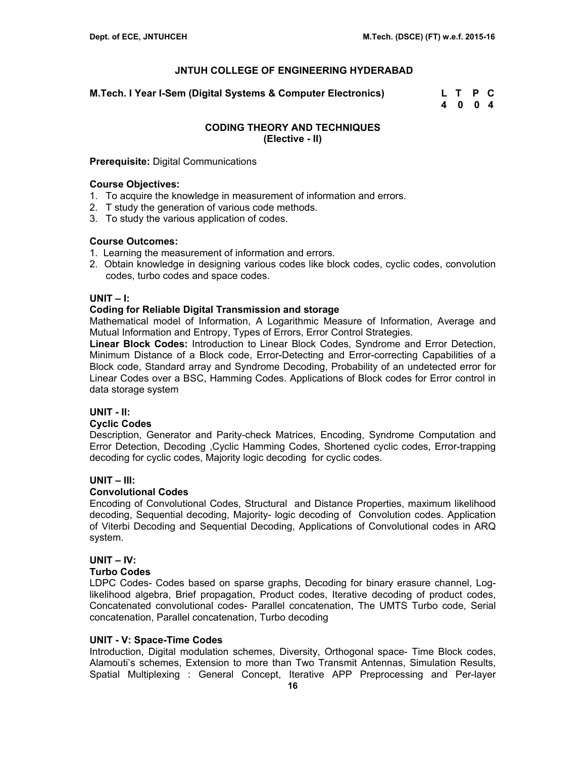**M.Tech. I Year I-Sem (Digital Systems & Computer Electronics) L T P C** 

 **4 0 0 4** 

## **CODING THEORY AND TECHNIQUES (Elective - II)**

## **Prerequisite:** Digital Communications

### **Course Objectives:**

- 1. To acquire the knowledge in measurement of information and errors.
- 2. T study the generation of various code methods.
- 3. To study the various application of codes.

## **Course Outcomes:**

- 1. Learning the measurement of information and errors.
- 2. Obtain knowledge in designing various codes like block codes, cyclic codes, convolution codes, turbo codes and space codes.

## **UNIT – I:**

## **Coding for Reliable Digital Transmission and storage**

Mathematical model of Information, A Logarithmic Measure of Information, Average and Mutual Information and Entropy, Types of Errors, Error Control Strategies.

**Linear Block Codes:** Introduction to Linear Block Codes, Syndrome and Error Detection, Minimum Distance of a Block code, Error-Detecting and Error-correcting Capabilities of a Block code, Standard array and Syndrome Decoding, Probability of an undetected error for Linear Codes over a BSC, Hamming Codes. Applications of Block codes for Error control in data storage system

## **UNIT - II:**

### **Cyclic Codes**

Description, Generator and Parity-check Matrices, Encoding, Syndrome Computation and Error Detection, Decoding ,Cyclic Hamming Codes, Shortened cyclic codes, Error-trapping decoding for cyclic codes, Majority logic decoding for cyclic codes.

### **UNIT – III:**

## **Convolutional Codes**

Encoding of Convolutional Codes, Structural and Distance Properties, maximum likelihood decoding, Sequential decoding, Majority- logic decoding of Convolution codes. Application of Viterbi Decoding and Sequential Decoding, Applications of Convolutional codes in ARQ system.

## **UNIT – IV:**

### **Turbo Codes**

LDPC Codes- Codes based on sparse graphs, Decoding for binary erasure channel, Loglikelihood algebra, Brief propagation, Product codes, Iterative decoding of product codes, Concatenated convolutional codes- Parallel concatenation, The UMTS Turbo code, Serial concatenation, Parallel concatenation, Turbo decoding

## **UNIT - V: Space-Time Codes**

Introduction, Digital modulation schemes, Diversity, Orthogonal space- Time Block codes, Alamouti's schemes, Extension to more than Two Transmit Antennas, Simulation Results, Spatial Multiplexing : General Concept, Iterative APP Preprocessing and Per-layer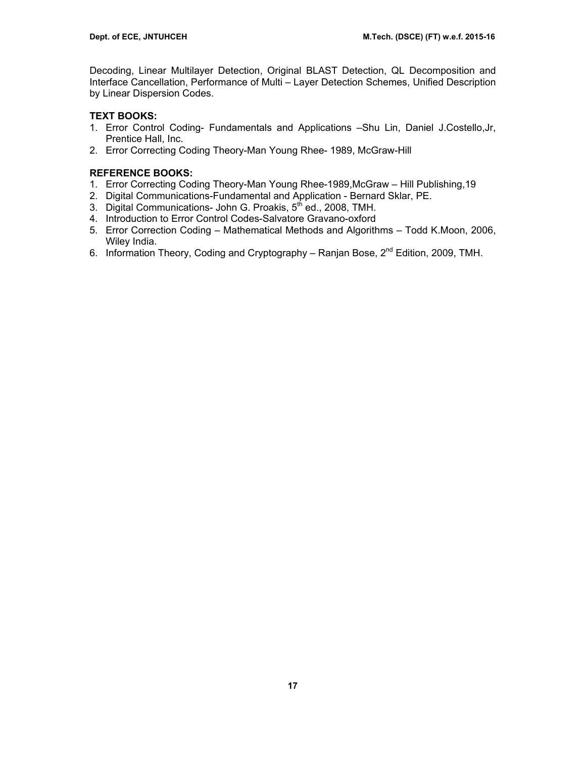Decoding, Linear Multilayer Detection, Original BLAST Detection, QL Decomposition and Interface Cancellation, Performance of Multi – Layer Detection Schemes, Unified Description by Linear Dispersion Codes.

## **TEXT BOOKS:**

- 1. Error Control Coding- Fundamentals and Applications –Shu Lin, Daniel J.Costello,Jr, Prentice Hall, Inc.
- 2. Error Correcting Coding Theory-Man Young Rhee- 1989, McGraw-Hill

- 1. Error Correcting Coding Theory-Man Young Rhee-1989,McGraw Hill Publishing,19
- 2. Digital Communications-Fundamental and Application Bernard Sklar, PE.
- 3. Digital Communications- John G. Proakis, 5th ed., 2008, TMH.
- 4. Introduction to Error Control Codes-Salvatore Gravano-oxford
- 5. Error Correction Coding Mathematical Methods and Algorithms Todd K.Moon, 2006, Wiley India.
- 6. Information Theory, Coding and Cryptography Ranjan Bose, 2<sup>nd</sup> Edition, 2009, TMH.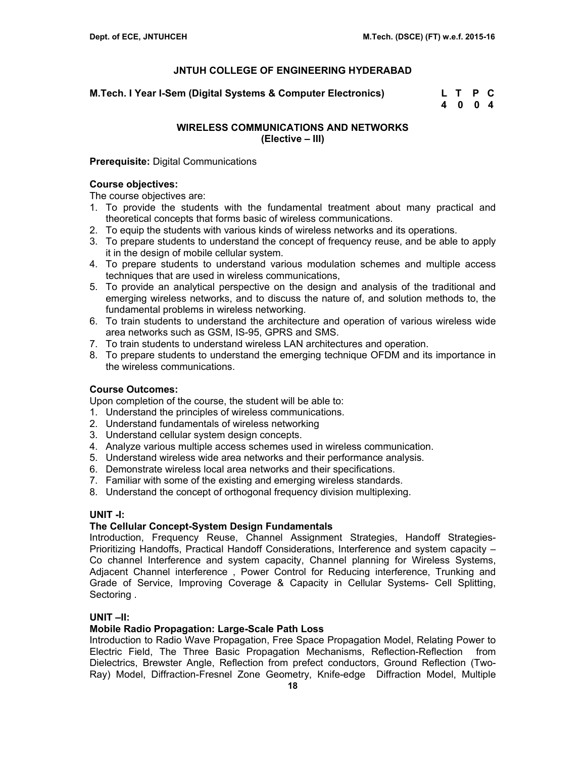**M.Tech. I Year I-Sem (Digital Systems & Computer Electronics) L T P C** 

 **4 0 0 4** 

## **WIRELESS COMMUNICATIONS AND NETWORKS (Elective – III)**

## **Prerequisite:** Digital Communications

## **Course objectives:**

The course objectives are:

- 1. To provide the students with the fundamental treatment about many practical and theoretical concepts that forms basic of wireless communications.
- 2. To equip the students with various kinds of wireless networks and its operations.
- 3. To prepare students to understand the concept of frequency reuse, and be able to apply it in the design of mobile cellular system.
- 4. To prepare students to understand various modulation schemes and multiple access techniques that are used in wireless communications,
- 5. To provide an analytical perspective on the design and analysis of the traditional and emerging wireless networks, and to discuss the nature of, and solution methods to, the fundamental problems in wireless networking.
- 6. To train students to understand the architecture and operation of various wireless wide area networks such as GSM, IS-95, GPRS and SMS.
- 7. To train students to understand wireless LAN architectures and operation.
- 8. To prepare students to understand the emerging technique OFDM and its importance in the wireless communications.

## **Course Outcomes:**

Upon completion of the course, the student will be able to:

- 1. Understand the principles of wireless communications.
- 2. Understand fundamentals of wireless networking
- 3. Understand cellular system design concepts.
- 4. Analyze various multiple access schemes used in wireless communication.
- 5. Understand wireless wide area networks and their performance analysis.
- 6. Demonstrate wireless local area networks and their specifications.
- 7. Familiar with some of the existing and emerging wireless standards.
- 8. Understand the concept of orthogonal frequency division multiplexing.

### **UNIT -I:**

## **The Cellular Concept-System Design Fundamentals**

Introduction, Frequency Reuse, Channel Assignment Strategies, Handoff Strategies-Prioritizing Handoffs, Practical Handoff Considerations, Interference and system capacity – Co channel Interference and system capacity, Channel planning for Wireless Systems, Adjacent Channel interference , Power Control for Reducing interference, Trunking and Grade of Service, Improving Coverage & Capacity in Cellular Systems- Cell Splitting, Sectoring .

### **UNIT –II:**

## **Mobile Radio Propagation: Large-Scale Path Loss**

Introduction to Radio Wave Propagation, Free Space Propagation Model, Relating Power to Electric Field, The Three Basic Propagation Mechanisms, Reflection-Reflection from Dielectrics, Brewster Angle, Reflection from prefect conductors, Ground Reflection (Two-Ray) Model, Diffraction-Fresnel Zone Geometry, Knife-edge Diffraction Model, Multiple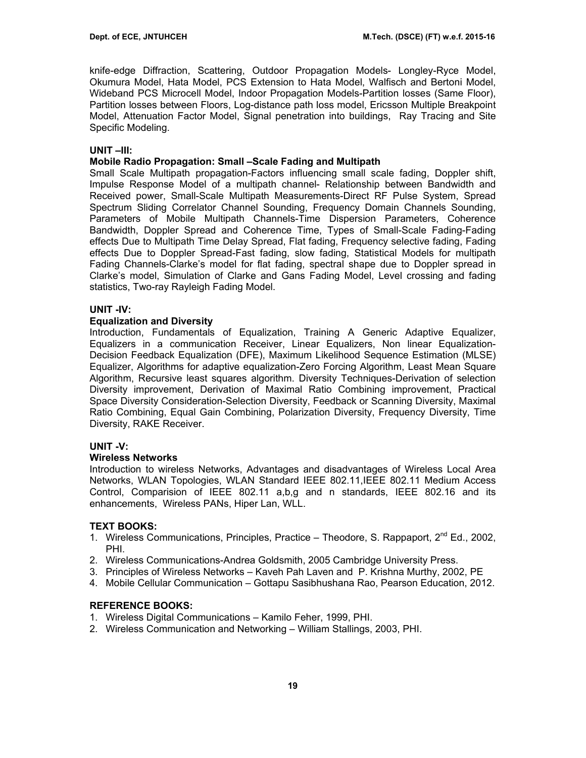knife-edge Diffraction, Scattering, Outdoor Propagation Models- Longley-Ryce Model, Okumura Model, Hata Model, PCS Extension to Hata Model, Walfisch and Bertoni Model, Wideband PCS Microcell Model, Indoor Propagation Models-Partition losses (Same Floor), Partition losses between Floors, Log-distance path loss model, Ericsson Multiple Breakpoint Model, Attenuation Factor Model, Signal penetration into buildings, Ray Tracing and Site Specific Modeling.

### **UNIT –III:**

## **Mobile Radio Propagation: Small –Scale Fading and Multipath**

Small Scale Multipath propagation-Factors influencing small scale fading, Doppler shift, Impulse Response Model of a multipath channel- Relationship between Bandwidth and Received power, Small-Scale Multipath Measurements-Direct RF Pulse System, Spread Spectrum Sliding Correlator Channel Sounding, Frequency Domain Channels Sounding, Parameters of Mobile Multipath Channels-Time Dispersion Parameters, Coherence Bandwidth, Doppler Spread and Coherence Time, Types of Small-Scale Fading-Fading effects Due to Multipath Time Delay Spread, Flat fading, Frequency selective fading, Fading effects Due to Doppler Spread-Fast fading, slow fading, Statistical Models for multipath Fading Channels-Clarke's model for flat fading, spectral shape due to Doppler spread in Clarke's model, Simulation of Clarke and Gans Fading Model, Level crossing and fading statistics, Two-ray Rayleigh Fading Model.

### **UNIT -IV:**

### **Equalization and Diversity**

Introduction, Fundamentals of Equalization, Training A Generic Adaptive Equalizer, Equalizers in a communication Receiver, Linear Equalizers, Non linear Equalization-Decision Feedback Equalization (DFE), Maximum Likelihood Sequence Estimation (MLSE) Equalizer, Algorithms for adaptive equalization-Zero Forcing Algorithm, Least Mean Square Algorithm, Recursive least squares algorithm. Diversity Techniques-Derivation of selection Diversity improvement, Derivation of Maximal Ratio Combining improvement, Practical Space Diversity Consideration-Selection Diversity, Feedback or Scanning Diversity, Maximal Ratio Combining, Equal Gain Combining, Polarization Diversity, Frequency Diversity, Time Diversity, RAKE Receiver.

### **UNIT -V:**

### **Wireless Networks**

Introduction to wireless Networks, Advantages and disadvantages of Wireless Local Area Networks, WLAN Topologies, WLAN Standard IEEE 802.11,IEEE 802.11 Medium Access Control, Comparision of IEEE 802.11 a,b,g and n standards, IEEE 802.16 and its enhancements, Wireless PANs, Hiper Lan, WLL.

### **TEXT BOOKS:**

- 1. Wireless Communications, Principles, Practice Theodore, S. Rappaport, 2<sup>nd</sup> Ed., 2002, PHI.
- 2. Wireless Communications-Andrea Goldsmith, 2005 Cambridge University Press.
- 3. Principles of Wireless Networks Kaveh Pah Laven and P. Krishna Murthy, 2002, PE
- 4. Mobile Cellular Communication Gottapu Sasibhushana Rao, Pearson Education, 2012.

- 1. Wireless Digital Communications Kamilo Feher, 1999, PHI.
- 2. Wireless Communication and Networking William Stallings, 2003, PHI.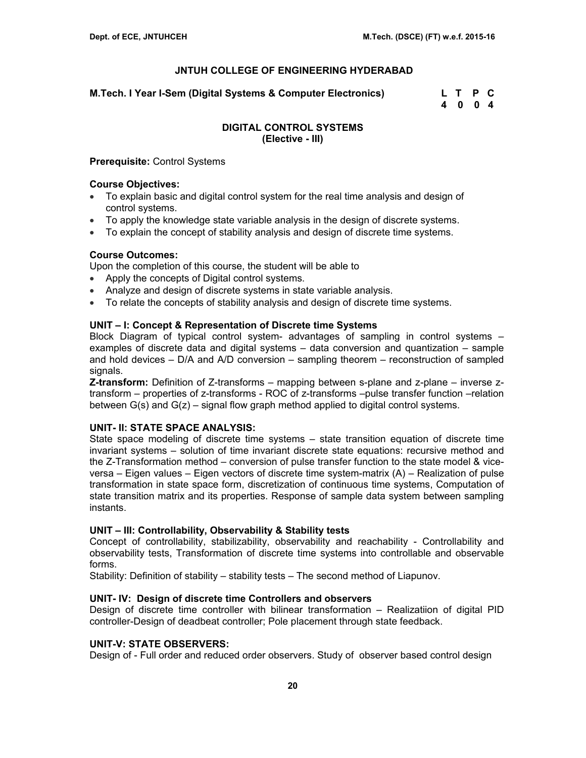**M.Tech. I Year I-Sem (Digital Systems & Computer Electronics) L T P C** 

 **4 0 0 4** 

## **DIGITAL CONTROL SYSTEMS (Elective - III)**

### **Prerequisite:** Control Systems

### **Course Objectives:**

- To explain basic and digital control system for the real time analysis and design of control systems.
- To apply the knowledge state variable analysis in the design of discrete systems.
- To explain the concept of stability analysis and design of discrete time systems.

## **Course Outcomes:**

Upon the completion of this course, the student will be able to

- Apply the concepts of Digital control systems.
- Analyze and design of discrete systems in state variable analysis.
- To relate the concepts of stability analysis and design of discrete time systems.

## **UNIT – I: Concept & Representation of Discrete time Systems**

Block Diagram of typical control system- advantages of sampling in control systems – examples of discrete data and digital systems – data conversion and quantization – sample and hold devices – D/A and A/D conversion – sampling theorem – reconstruction of sampled signals.

**Z-transform:** Definition of Z-transforms – mapping between s-plane and z-plane – inverse ztransform – properties of z-transforms - ROC of z-transforms –pulse transfer function –relation between  $G(s)$  and  $G(z)$  – signal flow graph method applied to digital control systems.

## **UNIT- II: STATE SPACE ANALYSIS:**

State space modeling of discrete time systems – state transition equation of discrete time invariant systems – solution of time invariant discrete state equations: recursive method and the Z-Transformation method – conversion of pulse transfer function to the state model & viceversa – Eigen values – Eigen vectors of discrete time system-matrix (A) – Realization of pulse transformation in state space form, discretization of continuous time systems, Computation of state transition matrix and its properties. Response of sample data system between sampling instants.

## **UNIT – III: Controllability, Observability & Stability tests**

Concept of controllability, stabilizability, observability and reachability - Controllability and observability tests, Transformation of discrete time systems into controllable and observable forms.

Stability: Definition of stability – stability tests – The second method of Liapunov.

### **UNIT- IV: Design of discrete time Controllers and observers**

Design of discrete time controller with bilinear transformation – Realizatiion of digital PID controller-Design of deadbeat controller; Pole placement through state feedback.

## **UNIT-V: STATE OBSERVERS:**

Design of - Full order and reduced order observers. Study of observer based control design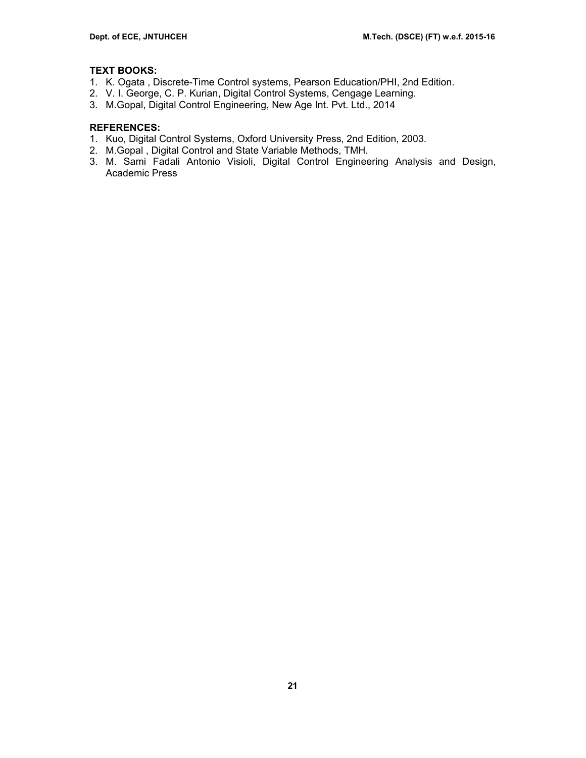## **TEXT BOOKS:**

- 1. K. Ogata , Discrete-Time Control systems, Pearson Education/PHI, 2nd Edition.
- 2. V. I. George, C. P. Kurian, Digital Control Systems, Cengage Learning.
- 3. M.Gopal, Digital Control Engineering, New Age Int. Pvt. Ltd., 2014

## **REFERENCES:**

- 1. Kuo, Digital Control Systems, Oxford University Press, 2nd Edition, 2003.
- 2. M.Gopal , Digital Control and State Variable Methods, TMH.
- 3. M. Sami Fadali Antonio Visioli, Digital Control Engineering Analysis and Design, Academic Press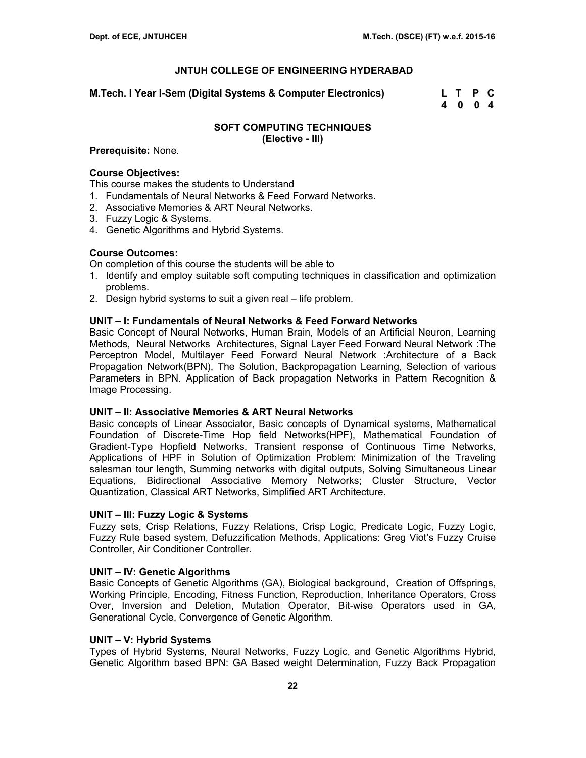**M.Tech. I Year I-Sem (Digital Systems & Computer Electronics) L T P C** 

 **4 0 0 4** 

### **SOFT COMPUTING TECHNIQUES (Elective - III)**

#### **Prerequisite:** None.

### **Course Objectives:**

This course makes the students to Understand

- 1. Fundamentals of Neural Networks & Feed Forward Networks.
- 2. Associative Memories & ART Neural Networks.
- 3. Fuzzy Logic & Systems.
- 4. Genetic Algorithms and Hybrid Systems.

### **Course Outcomes:**

On completion of this course the students will be able to

- 1. Identify and employ suitable soft computing techniques in classification and optimization problems.
- 2. Design hybrid systems to suit a given real life problem.

### **UNIT – I: Fundamentals of Neural Networks & Feed Forward Networks**

Basic Concept of Neural Networks, Human Brain, Models of an Artificial Neuron, Learning Methods, Neural Networks Architectures, Signal Layer Feed Forward Neural Network :The Perceptron Model, Multilayer Feed Forward Neural Network :Architecture of a Back Propagation Network(BPN), The Solution, Backpropagation Learning, Selection of various Parameters in BPN. Application of Back propagation Networks in Pattern Recognition & Image Processing.

#### **UNIT – II: Associative Memories & ART Neural Networks**

Basic concepts of Linear Associator, Basic concepts of Dynamical systems, Mathematical Foundation of Discrete-Time Hop field Networks(HPF), Mathematical Foundation of Gradient-Type Hopfield Networks, Transient response of Continuous Time Networks, Applications of HPF in Solution of Optimization Problem: Minimization of the Traveling salesman tour length, Summing networks with digital outputs, Solving Simultaneous Linear Equations, Bidirectional Associative Memory Networks; Cluster Structure, Vector Quantization, Classical ART Networks, Simplified ART Architecture.

### **UNIT – III: Fuzzy Logic & Systems**

Fuzzy sets, Crisp Relations, Fuzzy Relations, Crisp Logic, Predicate Logic, Fuzzy Logic, Fuzzy Rule based system, Defuzzification Methods, Applications: Greg Viot's Fuzzy Cruise Controller, Air Conditioner Controller.

#### **UNIT – IV: Genetic Algorithms**

Basic Concepts of Genetic Algorithms (GA), Biological background, Creation of Offsprings, Working Principle, Encoding, Fitness Function, Reproduction, Inheritance Operators, Cross Over, Inversion and Deletion, Mutation Operator, Bit-wise Operators used in GA, Generational Cycle, Convergence of Genetic Algorithm.

#### **UNIT – V: Hybrid Systems**

Types of Hybrid Systems, Neural Networks, Fuzzy Logic, and Genetic Algorithms Hybrid, Genetic Algorithm based BPN: GA Based weight Determination, Fuzzy Back Propagation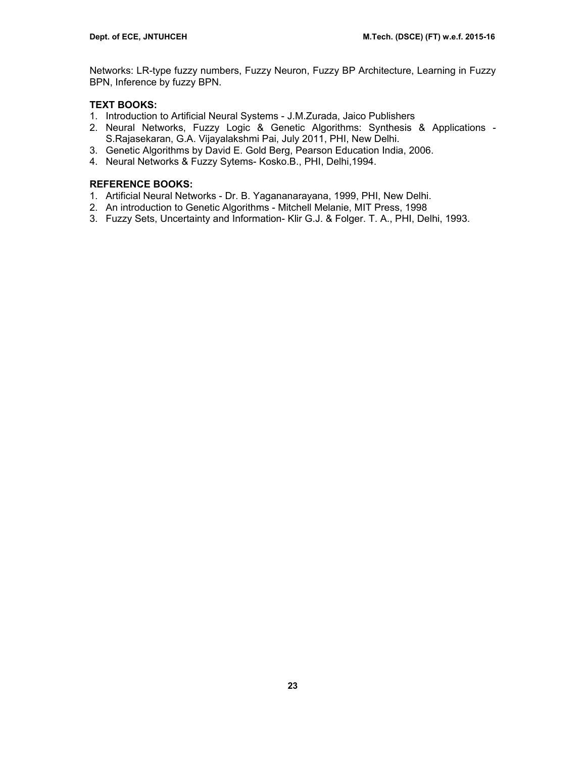Networks: LR-type fuzzy numbers, Fuzzy Neuron, Fuzzy BP Architecture, Learning in Fuzzy BPN, Inference by fuzzy BPN.

## **TEXT BOOKS:**

- 1. Introduction to Artificial Neural Systems J.M.Zurada, Jaico Publishers
- 2. Neural Networks, Fuzzy Logic & Genetic Algorithms: Synthesis & Applications S.Rajasekaran, G.A. Vijayalakshmi Pai, July 2011, PHI, New Delhi.
- 3. Genetic Algorithms by David E. Gold Berg, Pearson Education India, 2006.
- 4. Neural Networks & Fuzzy Sytems- Kosko.B., PHI, Delhi,1994.

- 1. Artificial Neural Networks Dr. B. Yagananarayana, 1999, PHI, New Delhi.
- 2. An introduction to Genetic Algorithms Mitchell Melanie, MIT Press, 1998
- 3. Fuzzy Sets, Uncertainty and Information- Klir G.J. & Folger. T. A., PHI, Delhi, 1993.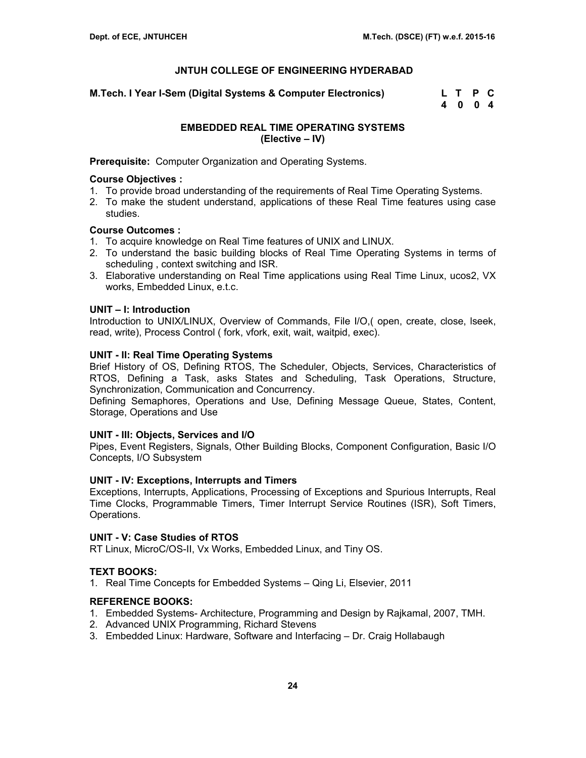**M.Tech. I Year I-Sem (Digital Systems & Computer Electronics) L T P C** 

 **4 0 0 4** 

## **EMBEDDED REAL TIME OPERATING SYSTEMS (Elective – IV)**

**Prerequisite:** Computer Organization and Operating Systems.

## **Course Objectives :**

- 1. To provide broad understanding of the requirements of Real Time Operating Systems.
- 2. To make the student understand, applications of these Real Time features using case studies.

## **Course Outcomes :**

- 1. To acquire knowledge on Real Time features of UNIX and LINUX.
- 2. To understand the basic building blocks of Real Time Operating Systems in terms of scheduling , context switching and ISR.
- 3. Elaborative understanding on Real Time applications using Real Time Linux, ucos2, VX works, Embedded Linux, e.t.c.

## **UNIT – I: Introduction**

Introduction to UNIX/LINUX, Overview of Commands, File I/O,( open, create, close, lseek, read, write), Process Control ( fork, vfork, exit, wait, waitpid, exec).

## **UNIT - II: Real Time Operating Systems**

Brief History of OS, Defining RTOS, The Scheduler, Objects, Services, Characteristics of RTOS, Defining a Task, asks States and Scheduling, Task Operations, Structure, Synchronization, Communication and Concurrency.

Defining Semaphores, Operations and Use, Defining Message Queue, States, Content, Storage, Operations and Use

### **UNIT - III: Objects, Services and I/O**

Pipes, Event Registers, Signals, Other Building Blocks, Component Configuration, Basic I/O Concepts, I/O Subsystem

### **UNIT - IV: Exceptions, Interrupts and Timers**

Exceptions, Interrupts, Applications, Processing of Exceptions and Spurious Interrupts, Real Time Clocks, Programmable Timers, Timer Interrupt Service Routines (ISR), Soft Timers, Operations.

## **UNIT - V: Case Studies of RTOS**

RT Linux, MicroC/OS-II, Vx Works, Embedded Linux, and Tiny OS.

### **TEXT BOOKS:**

1. Real Time Concepts for Embedded Systems – Qing Li, Elsevier, 2011

- 1. Embedded Systems- Architecture, Programming and Design by Rajkamal, 2007, TMH.
- 2. Advanced UNIX Programming, Richard Stevens
- 3. Embedded Linux: Hardware, Software and Interfacing Dr. Craig Hollabaugh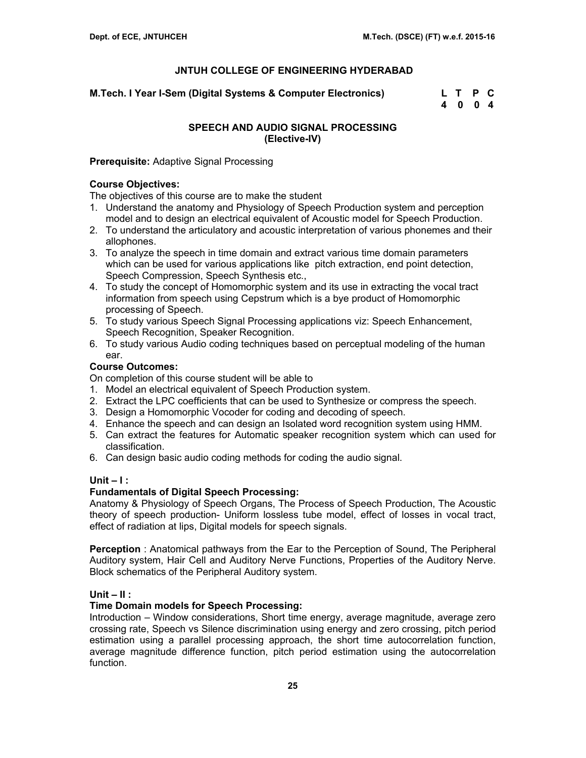**M.Tech. I Year I-Sem (Digital Systems & Computer Electronics) L T P C** 

 **4 0 0 4** 

## **SPEECH AND AUDIO SIGNAL PROCESSING (Elective-IV)**

## **Prerequisite:** Adaptive Signal Processing

## **Course Objectives:**

The objectives of this course are to make the student

- 1. Understand the anatomy and Physiology of Speech Production system and perception model and to design an electrical equivalent of Acoustic model for Speech Production.
- 2. To understand the articulatory and acoustic interpretation of various phonemes and their allophones.
- 3. To analyze the speech in time domain and extract various time domain parameters which can be used for various applications like pitch extraction, end point detection, Speech Compression, Speech Synthesis etc.,
- 4. To study the concept of Homomorphic system and its use in extracting the vocal tract information from speech using Cepstrum which is a bye product of Homomorphic processing of Speech.
- 5. To study various Speech Signal Processing applications viz: Speech Enhancement, Speech Recognition, Speaker Recognition.
- 6. To study various Audio coding techniques based on perceptual modeling of the human ear.

## **Course Outcomes:**

On completion of this course student will be able to

- 1. Model an electrical equivalent of Speech Production system.
- 2. Extract the LPC coefficients that can be used to Synthesize or compress the speech.
- 3. Design a Homomorphic Vocoder for coding and decoding of speech.
- 4. Enhance the speech and can design an Isolated word recognition system using HMM.
- 5. Can extract the features for Automatic speaker recognition system which can used for classification.
- 6. Can design basic audio coding methods for coding the audio signal.

### **Unit – I :**

### **Fundamentals of Digital Speech Processing:**

Anatomy & Physiology of Speech Organs, The Process of Speech Production, The Acoustic theory of speech production- Uniform lossless tube model, effect of losses in vocal tract, effect of radiation at lips, Digital models for speech signals.

**Perception** : Anatomical pathways from the Ear to the Perception of Sound, The Peripheral Auditory system, Hair Cell and Auditory Nerve Functions, Properties of the Auditory Nerve. Block schematics of the Peripheral Auditory system.

## **Unit – II :**

### **Time Domain models for Speech Processing:**

Introduction – Window considerations, Short time energy, average magnitude, average zero crossing rate, Speech vs Silence discrimination using energy and zero crossing, pitch period estimation using a parallel processing approach, the short time autocorrelation function, average magnitude difference function, pitch period estimation using the autocorrelation function.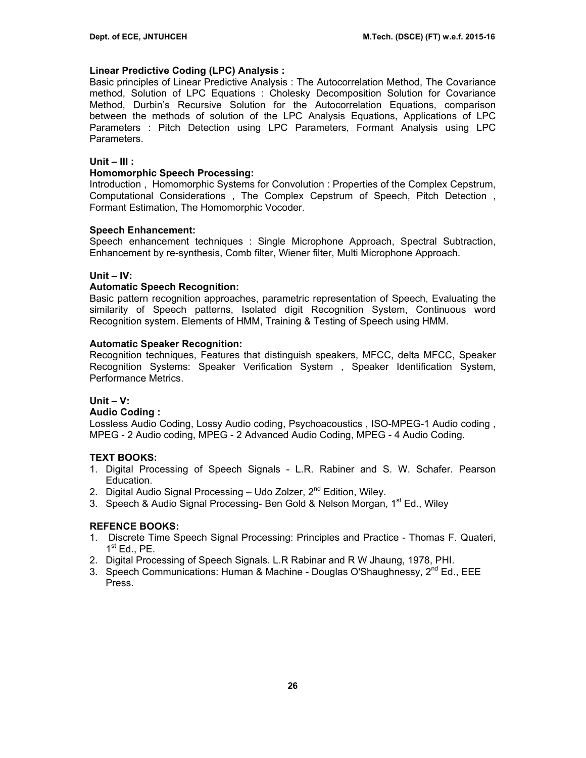### **Linear Predictive Coding (LPC) Analysis :**

Basic principles of Linear Predictive Analysis : The Autocorrelation Method, The Covariance method, Solution of LPC Equations : Cholesky Decomposition Solution for Covariance Method, Durbin's Recursive Solution for the Autocorrelation Equations, comparison between the methods of solution of the LPC Analysis Equations, Applications of LPC Parameters : Pitch Detection using LPC Parameters, Formant Analysis using LPC Parameters.

### **Unit – III :**

### **Homomorphic Speech Processing:**

Introduction , Homomorphic Systems for Convolution : Properties of the Complex Cepstrum, Computational Considerations , The Complex Cepstrum of Speech, Pitch Detection , Formant Estimation, The Homomorphic Vocoder.

## **Speech Enhancement:**

Speech enhancement techniques : Single Microphone Approach, Spectral Subtraction, Enhancement by re-synthesis, Comb filter, Wiener filter, Multi Microphone Approach.

## **Unit – IV:**

## **Automatic Speech Recognition:**

Basic pattern recognition approaches, parametric representation of Speech, Evaluating the similarity of Speech patterns, Isolated digit Recognition System, Continuous word Recognition system. Elements of HMM, Training & Testing of Speech using HMM.

### **Automatic Speaker Recognition:**

Recognition techniques, Features that distinguish speakers, MFCC, delta MFCC, Speaker Recognition Systems: Speaker Verification System , Speaker Identification System, Performance Metrics.

### **Unit – V:**

### **Audio Coding :**

Lossless Audio Coding, Lossy Audio coding, Psychoacoustics , ISO-MPEG-1 Audio coding , MPEG - 2 Audio coding, MPEG - 2 Advanced Audio Coding, MPEG - 4 Audio Coding.

## **TEXT BOOKS:**

- 1. Digital Processing of Speech Signals L.R. Rabiner and S. W. Schafer. Pearson Education.
- 2. Digital Audio Signal Processing Udo Zolzer, 2<sup>nd</sup> Edition, Wiley.
- 3. Speech & Audio Signal Processing- Ben Gold & Nelson Morgan, 1<sup>st</sup> Ed., Wiley

- 1. Discrete Time Speech Signal Processing: Principles and Practice Thomas F. Quateri,  $1<sup>st</sup>$  Ed., PE.
- 2. Digital Processing of Speech Signals. L.R Rabinar and R W Jhaung, 1978, PHI.
- 3. Speech Communications: Human & Machine Douglas O'Shaughnessy,  $2^{nd}$  Ed., EEE Press.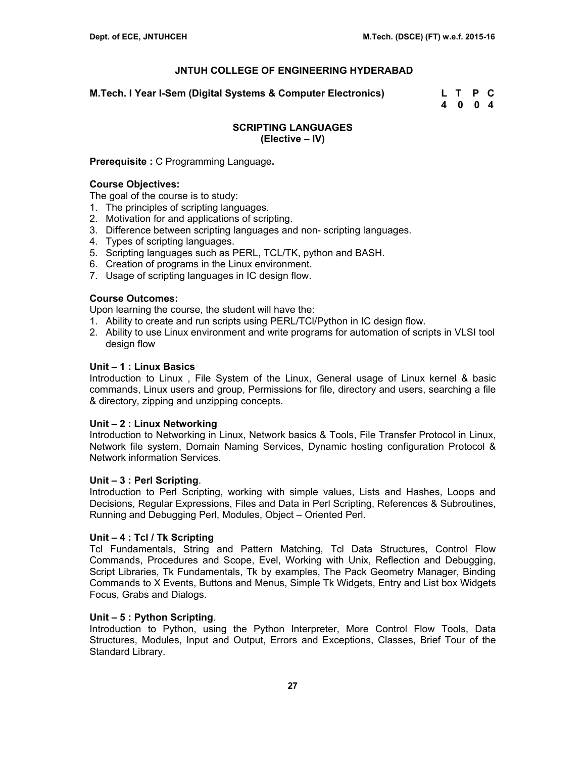**M.Tech. I Year I-Sem (Digital Systems & Computer Electronics) L T P C** 

 **4 0 0 4** 

## **SCRIPTING LANGUAGES (Elective – IV)**

## **Prerequisite :** C Programming Language**.**

## **Course Objectives:**

The goal of the course is to study:

- 1. The principles of scripting languages.
- 2. Motivation for and applications of scripting.
- 3. Difference between scripting languages and non- scripting languages.
- 4. Types of scripting languages.
- 5. Scripting languages such as PERL, TCL/TK, python and BASH.
- 6. Creation of programs in the Linux environment.
- 7. Usage of scripting languages in IC design flow.

## **Course Outcomes:**

Upon learning the course, the student will have the:

- 1. Ability to create and run scripts using PERL/TCl/Python in IC design flow.
- 2. Ability to use Linux environment and write programs for automation of scripts in VLSI tool design flow

### **Unit – 1 : Linux Basics**

Introduction to Linux , File System of the Linux, General usage of Linux kernel & basic commands, Linux users and group, Permissions for file, directory and users, searching a file & directory, zipping and unzipping concepts.

### **Unit – 2 : Linux Networking**

Introduction to Networking in Linux, Network basics & Tools, File Transfer Protocol in Linux, Network file system, Domain Naming Services, Dynamic hosting configuration Protocol & Network information Services.

### **Unit – 3 : Perl Scripting**.

Introduction to Perl Scripting, working with simple values, Lists and Hashes, Loops and Decisions, Regular Expressions, Files and Data in Perl Scripting, References & Subroutines, Running and Debugging Perl, Modules, Object – Oriented Perl.

### **Unit – 4 : Tcl / Tk Scripting**

Tcl Fundamentals, String and Pattern Matching, Tcl Data Structures, Control Flow Commands, Procedures and Scope, Evel, Working with Unix, Reflection and Debugging, Script Libraries, Tk Fundamentals, Tk by examples, The Pack Geometry Manager, Binding Commands to X Events, Buttons and Menus, Simple Tk Widgets, Entry and List box Widgets Focus, Grabs and Dialogs.

### **Unit – 5 : Python Scripting**.

Introduction to Python, using the Python Interpreter, More Control Flow Tools, Data Structures, Modules, Input and Output, Errors and Exceptions, Classes, Brief Tour of the Standard Library.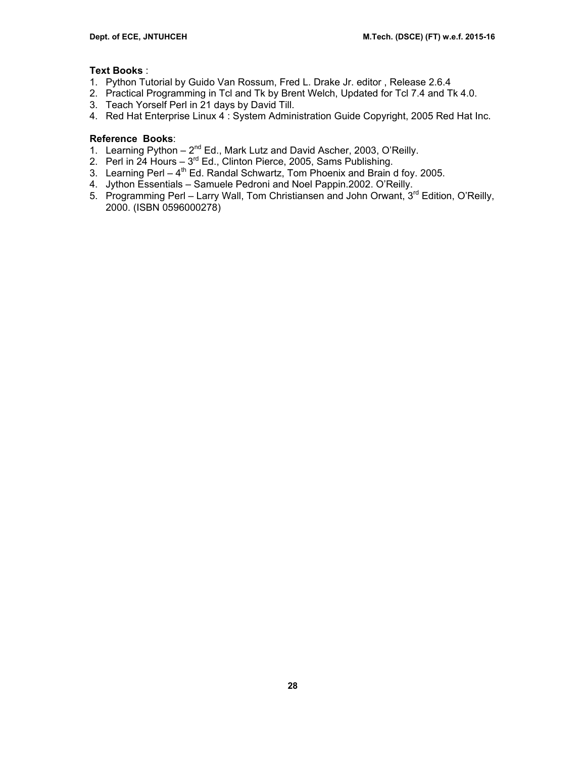## **Text Books** :

- 1. Python Tutorial by Guido Van Rossum, Fred L. Drake Jr. editor , Release 2.6.4
- 2. Practical Programming in Tcl and Tk by Brent Welch, Updated for Tcl 7.4 and Tk 4.0.
- 3. Teach Yorself Perl in 21 days by David Till.
- 4. Red Hat Enterprise Linux 4 : System Administration Guide Copyright, 2005 Red Hat Inc.

## **Reference Books**:

- 1. Learning Python  $-2^{nd}$  Ed., Mark Lutz and David Ascher, 2003, O'Reilly.
- 2. Perl in 24 Hours 3<sup>rd</sup> Ed., Clinton Pierce, 2005, Sams Publishing.
- 3. Learning Perl  $-4^{th}$  Ed. Randal Schwartz, Tom Phoenix and Brain d foy. 2005.
- 4. Jython Essentials Samuele Pedroni and Noel Pappin.2002. O'Reilly.
- 5. Programming Perl Larry Wall, Tom Christiansen and John Orwant, 3<sup>rd</sup> Edition, O'Reilly, 2000. (ISBN 0596000278)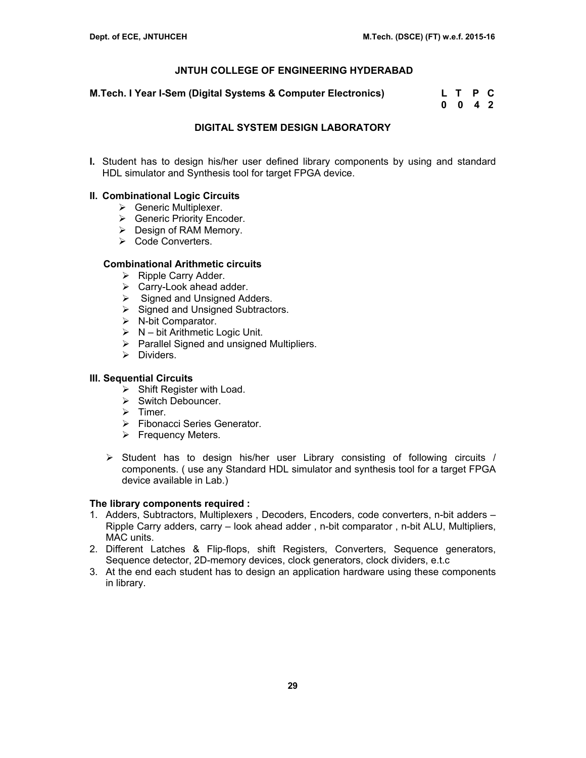**M.Tech. I Year I-Sem (Digital Systems & Computer Electronics) L T P C** 

 **0 0 4 2** 

### **DIGITAL SYSTEM DESIGN LABORATORY**

**I.** Student has to design his/her user defined library components by using and standard HDL simulator and Synthesis tool for target FPGA device.

### **II. Combinational Logic Circuits**

- $\triangleright$  Generic Multiplexer.
- ¾ Generic Priority Encoder.
- $\triangleright$  Design of RAM Memory.
- ¾ Code Converters.

### **Combinational Arithmetic circuits**

- $\triangleright$  Ripple Carry Adder.
- $\triangleright$  Carry-Look ahead adder.
- $\triangleright$  Signed and Unsigned Adders.
- $\triangleright$  Signed and Unsigned Subtractors.
- $\triangleright$  N-bit Comparator.
- $\triangleright$  N bit Arithmetic Logic Unit.
- $\triangleright$  Parallel Signed and unsigned Multipliers.
- $\triangleright$  Dividers.

### **III. Sequential Circuits**

- $\triangleright$  Shift Register with Load.
- $\triangleright$  Switch Debouncer.
- $\triangleright$  Timer.
- ¾ Fibonacci Series Generator.
- $\triangleright$  Frequency Meters.
- $\triangleright$  Student has to design his/her user Library consisting of following circuits / components. ( use any Standard HDL simulator and synthesis tool for a target FPGA device available in Lab.)

#### **The library components required :**

- 1. Adders, Subtractors, Multiplexers , Decoders, Encoders, code converters, n-bit adders Ripple Carry adders, carry – look ahead adder , n-bit comparator , n-bit ALU, Multipliers, MAC units.
- 2. Different Latches & Flip-flops, shift Registers, Converters, Sequence generators, Sequence detector, 2D-memory devices, clock generators, clock dividers, e.t.c
- 3. At the end each student has to design an application hardware using these components in library.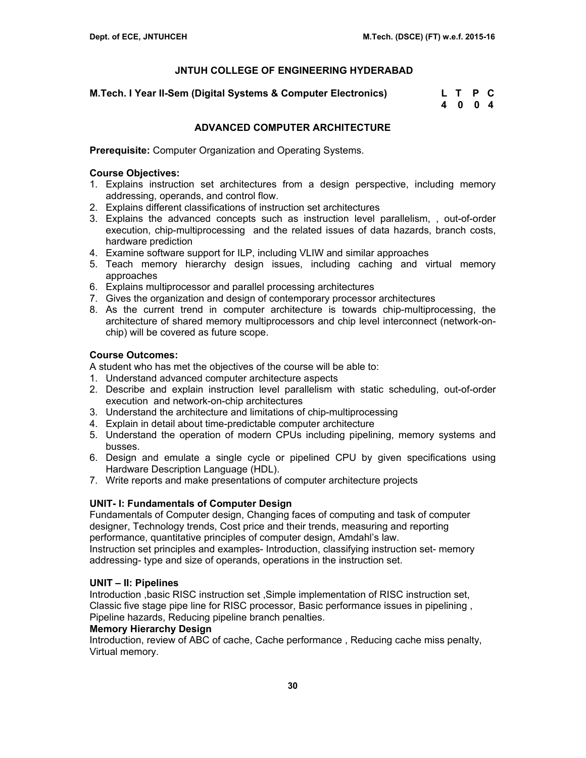**M.Tech. I Year II-Sem (Digital Systems & Computer Electronics) L T P C** 

 **4 0 0 4** 

## **ADVANCED COMPUTER ARCHITECTURE**

**Prerequisite:** Computer Organization and Operating Systems.

## **Course Objectives:**

- 1. Explains instruction set architectures from a design perspective, including memory addressing, operands, and control flow.
- 2. Explains different classifications of instruction set architectures
- 3. Explains the advanced concepts such as instruction level parallelism, , out-of-order execution, chip-multiprocessing and the related issues of data hazards, branch costs, hardware prediction
- 4. Examine software support for ILP, including VLIW and similar approaches
- 5. Teach memory hierarchy design issues, including caching and virtual memory approaches
- 6. Explains multiprocessor and parallel processing architectures
- 7. Gives the organization and design of contemporary processor architectures
- 8. As the current trend in computer architecture is towards chip-multiprocessing, the architecture of shared memory multiprocessors and chip level interconnect (network-onchip) will be covered as future scope.

## **Course Outcomes:**

A student who has met the objectives of the course will be able to:

- 1. Understand advanced computer architecture aspects
- 2. Describe and explain instruction level parallelism with static scheduling, out-of-order execution and network-on-chip architectures
- 3. Understand the architecture and limitations of chip-multiprocessing
- 4. Explain in detail about time-predictable computer architecture
- 5. Understand the operation of modern CPUs including pipelining, memory systems and busses.
- 6. Design and emulate a single cycle or pipelined CPU by given specifications using Hardware Description Language (HDL).
- 7. Write reports and make presentations of computer architecture projects

## **UNIT- I: Fundamentals of Computer Design**

Fundamentals of Computer design, Changing faces of computing and task of computer designer, Technology trends, Cost price and their trends, measuring and reporting performance, quantitative principles of computer design, Amdahl's law. Instruction set principles and examples- Introduction, classifying instruction set- memory addressing- type and size of operands, operations in the instruction set.

### **UNIT – II: Pipelines**

Introduction ,basic RISC instruction set ,Simple implementation of RISC instruction set, Classic five stage pipe line for RISC processor, Basic performance issues in pipelining , Pipeline hazards, Reducing pipeline branch penalties.

### **Memory Hierarchy Design**

Introduction, review of ABC of cache, Cache performance , Reducing cache miss penalty, Virtual memory.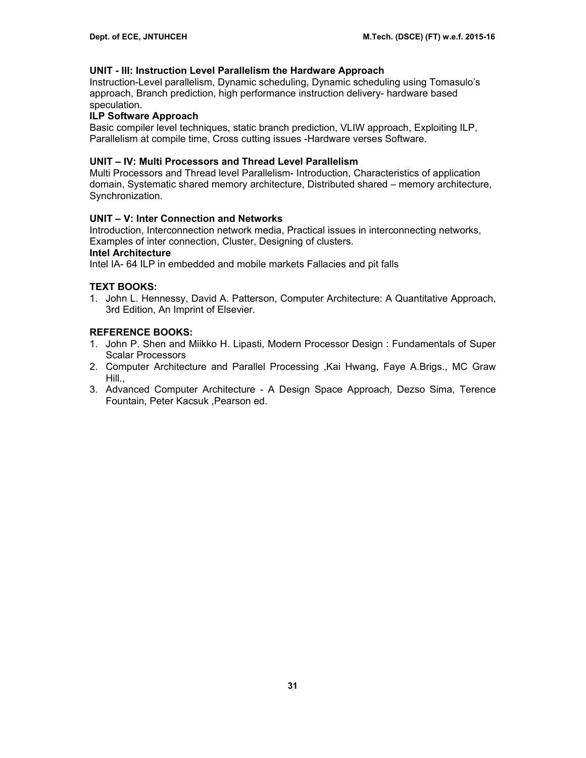### **UNIT - III: Instruction Level Parallelism the Hardware Approach**

Instruction-Level parallelism, Dynamic scheduling, Dynamic scheduling using Tomasulo's approach, Branch prediction, high performance instruction delivery- hardware based speculation.

### **ILP Software Approach**

Basic compiler level techniques, static branch prediction, VLIW approach, Exploiting ILP, Parallelism at compile time, Cross cutting issues -Hardware verses Software.

### **UNIT – IV: Multi Processors and Thread Level Parallelism**

Multi Processors and Thread level Parallelism- Introduction, Characteristics of application domain, Systematic shared memory architecture, Distributed shared – memory architecture, Synchronization.

### **UNIT – V: Inter Connection and Networks**

Introduction, Interconnection network media, Practical issues in interconnecting networks, Examples of inter connection, Cluster, Designing of clusters.

### **Intel Architecture**

Intel IA- 64 ILP in embedded and mobile markets Fallacies and pit falls

### **TEXT BOOKS:**

1. John L. Hennessy, David A. Patterson, Computer Architecture: A Quantitative Approach, 3rd Edition, An Imprint of Elsevier.

- 1. John P. Shen and Miikko H. Lipasti, Modern Processor Design : Fundamentals of Super Scalar Processors
- 2. Computer Architecture and Parallel Processing ,Kai Hwang, Faye A.Brigs., MC Graw Hill.,
- 3. Advanced Computer Architecture A Design Space Approach, Dezso Sima, Terence Fountain, Peter Kacsuk ,Pearson ed.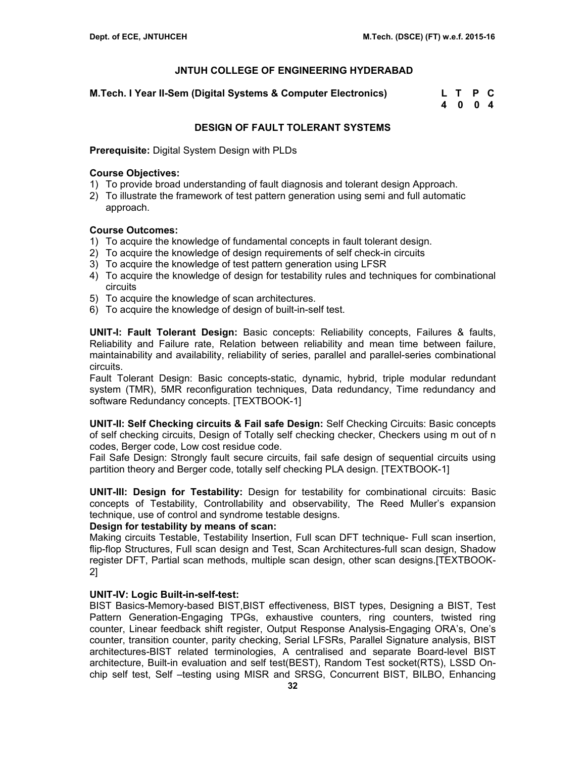**M.Tech. I Year II-Sem (Digital Systems & Computer Electronics) L T P C** 

 **4 0 0 4** 

## **DESIGN OF FAULT TOLERANT SYSTEMS**

**Prerequisite:** Digital System Design with PLDs

## **Course Objectives:**

- 1) To provide broad understanding of fault diagnosis and tolerant design Approach.
- 2) To illustrate the framework of test pattern generation using semi and full automatic approach.

## **Course Outcomes:**

- 1) To acquire the knowledge of fundamental concepts in fault tolerant design.
- 2) To acquire the knowledge of design requirements of self check-in circuits
- 3) To acquire the knowledge of test pattern generation using LFSR
- 4) To acquire the knowledge of design for testability rules and techniques for combinational circuits
- 5) To acquire the knowledge of scan architectures.
- 6) To acquire the knowledge of design of built-in-self test.

**UNIT-I: Fault Tolerant Design:** Basic concepts: Reliability concepts, Failures & faults, Reliability and Failure rate, Relation between reliability and mean time between failure, maintainability and availability, reliability of series, parallel and parallel-series combinational circuits.

Fault Tolerant Design: Basic concepts-static, dynamic, hybrid, triple modular redundant system (TMR), 5MR reconfiguration techniques, Data redundancy, Time redundancy and software Redundancy concepts. [TEXTBOOK-1]

**UNIT-II: Self Checking circuits & Fail safe Design:** Self Checking Circuits: Basic concepts of self checking circuits, Design of Totally self checking checker, Checkers using m out of n codes, Berger code, Low cost residue code.

Fail Safe Design: Strongly fault secure circuits, fail safe design of sequential circuits using partition theory and Berger code, totally self checking PLA design. [TEXTBOOK-1]

**UNIT-III: Design for Testability:** Design for testability for combinational circuits: Basic concepts of Testability, Controllability and observability, The Reed Muller's expansion technique, use of control and syndrome testable designs.

### **Design for testability by means of scan:**

Making circuits Testable, Testability Insertion, Full scan DFT technique- Full scan insertion, flip-flop Structures, Full scan design and Test, Scan Architectures-full scan design, Shadow register DFT, Partial scan methods, multiple scan design, other scan designs.[TEXTBOOK-2]

## **UNIT-IV: Logic Built-in-self-test:**

BIST Basics-Memory-based BIST,BIST effectiveness, BIST types, Designing a BIST, Test Pattern Generation-Engaging TPGs, exhaustive counters, ring counters, twisted ring counter, Linear feedback shift register, Output Response Analysis-Engaging ORA's, One's counter, transition counter, parity checking, Serial LFSRs, Parallel Signature analysis, BIST architectures-BIST related terminologies, A centralised and separate Board-level BIST architecture, Built-in evaluation and self test(BEST), Random Test socket(RTS), LSSD Onchip self test, Self –testing using MISR and SRSG, Concurrent BIST, BILBO, Enhancing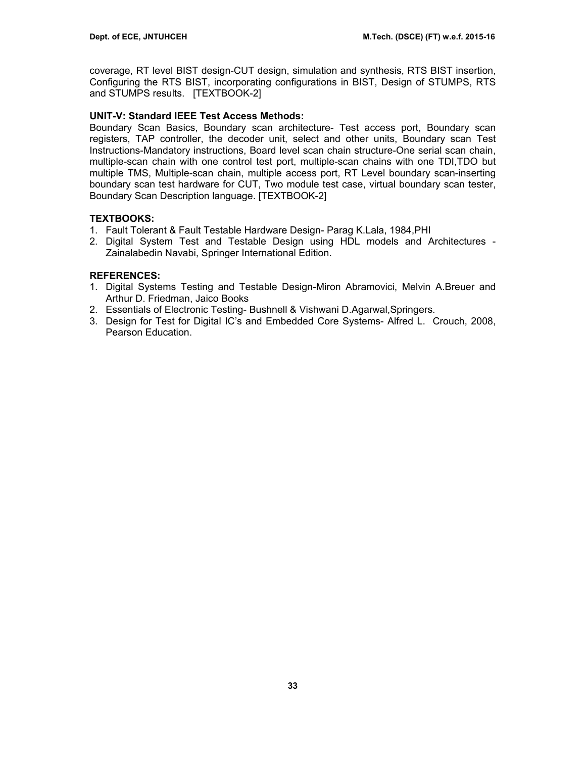coverage, RT level BIST design-CUT design, simulation and synthesis, RTS BIST insertion, Configuring the RTS BIST, incorporating configurations in BIST, Design of STUMPS, RTS and STUMPS results. [TEXTBOOK-2]

## **UNIT-V: Standard IEEE Test Access Methods:**

Boundary Scan Basics, Boundary scan architecture- Test access port, Boundary scan registers, TAP controller, the decoder unit, select and other units, Boundary scan Test Instructions-Mandatory instructions, Board level scan chain structure-One serial scan chain, multiple-scan chain with one control test port, multiple-scan chains with one TDI,TDO but multiple TMS, Multiple-scan chain, multiple access port, RT Level boundary scan-inserting boundary scan test hardware for CUT, Two module test case, virtual boundary scan tester, Boundary Scan Description language. [TEXTBOOK-2]

## **TEXTBOOKS:**

- 1. Fault Tolerant & Fault Testable Hardware Design- Parag K.Lala, 1984,PHI
- 2. Digital System Test and Testable Design using HDL models and Architectures Zainalabedin Navabi, Springer International Edition.

## **REFERENCES:**

- 1. Digital Systems Testing and Testable Design-Miron Abramovici, Melvin A.Breuer and Arthur D. Friedman, Jaico Books
- 2. Essentials of Electronic Testing- Bushnell & Vishwani D.Agarwal,Springers.
- 3. Design for Test for Digital IC's and Embedded Core Systems- Alfred L. Crouch, 2008, Pearson Education.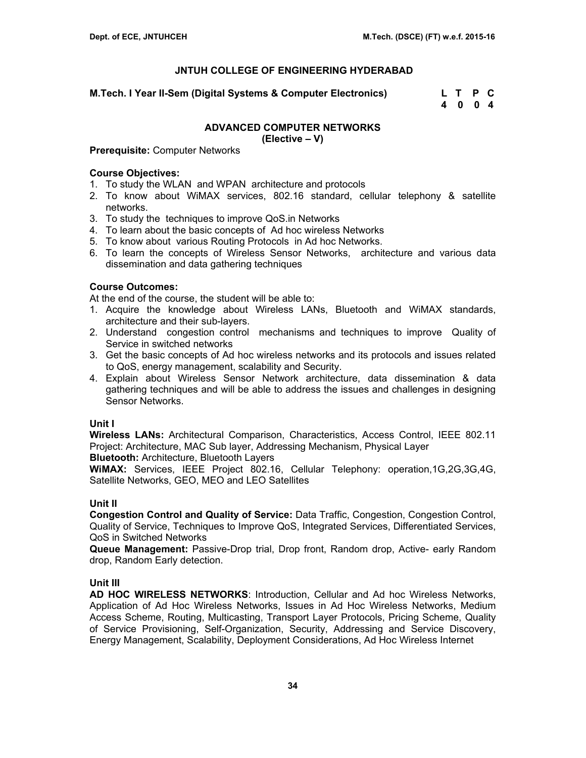**M.Tech. I Year II-Sem (Digital Systems & Computer Electronics) L T P C** 

 **4 0 0 4** 

## **ADVANCED COMPUTER NETWORKS**

**(Elective – V)** 

**Prerequisite:** Computer Networks

## **Course Objectives:**

- 1. To study the WLAN and WPAN architecture and protocols
- 2. To know about WiMAX services, 802.16 standard, cellular telephony & satellite networks.
- 3. To study the techniques to improve QoS.in Networks
- 4. To learn about the basic concepts of Ad hoc wireless Networks
- 5. To know about various Routing Protocols in Ad hoc Networks.
- 6. To learn the concepts of Wireless Sensor Networks, architecture and various data dissemination and data gathering techniques

## **Course Outcomes:**

At the end of the course, the student will be able to:

- 1. Acquire the knowledge about Wireless LANs, Bluetooth and WiMAX standards, architecture and their sub-layers.
- 2. Understand congestion control mechanisms and techniques to improve Quality of Service in switched networks
- 3. Get the basic concepts of Ad hoc wireless networks and its protocols and issues related to QoS, energy management, scalability and Security.
- 4. Explain about Wireless Sensor Network architecture, data dissemination & data gathering techniques and will be able to address the issues and challenges in designing Sensor Networks.

### **Unit I**

**Wireless LANs:** Architectural Comparison, Characteristics, Access Control, IEEE 802.11 Project: Architecture, MAC Sub layer, Addressing Mechanism, Physical Layer

**Bluetooth:** Architecture, Bluetooth Layers

**WiMAX:** Services, IEEE Project 802.16, Cellular Telephony: operation,1G,2G,3G,4G, Satellite Networks, GEO, MEO and LEO Satellites

### **Unit II**

**Congestion Control and Quality of Service:** Data Traffic, Congestion, Congestion Control, Quality of Service, Techniques to Improve QoS, Integrated Services, Differentiated Services, QoS in Switched Networks

**Queue Management:** Passive-Drop trial, Drop front, Random drop, Active- early Random drop, Random Early detection.

## **Unit III**

**AD HOC WIRELESS NETWORKS**: Introduction, Cellular and Ad hoc Wireless Networks, Application of Ad Hoc Wireless Networks, Issues in Ad Hoc Wireless Networks, Medium Access Scheme, Routing, Multicasting, Transport Layer Protocols, Pricing Scheme, Quality of Service Provisioning, Self-Organization, Security, Addressing and Service Discovery, Energy Management, Scalability, Deployment Considerations, Ad Hoc Wireless Internet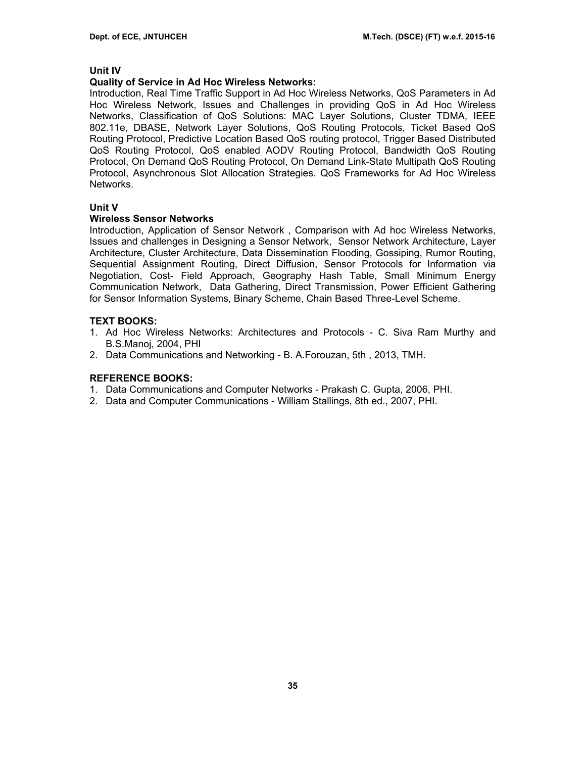### **Unit IV**

### **Quality of Service in Ad Hoc Wireless Networks:**

Introduction, Real Time Traffic Support in Ad Hoc Wireless Networks, QoS Parameters in Ad Hoc Wireless Network, Issues and Challenges in providing QoS in Ad Hoc Wireless Networks, Classification of QoS Solutions: MAC Layer Solutions, Cluster TDMA, IEEE 802.11e, DBASE, Network Layer Solutions, QoS Routing Protocols, Ticket Based QoS Routing Protocol, Predictive Location Based QoS routing protocol, Trigger Based Distributed QoS Routing Protocol, QoS enabled AODV Routing Protocol, Bandwidth QoS Routing Protocol, On Demand QoS Routing Protocol, On Demand Link-State Multipath QoS Routing Protocol, Asynchronous Slot Allocation Strategies. QoS Frameworks for Ad Hoc Wireless Networks.

### **Unit V**

### **Wireless Sensor Networks**

Introduction, Application of Sensor Network , Comparison with Ad hoc Wireless Networks, Issues and challenges in Designing a Sensor Network, Sensor Network Architecture, Layer Architecture, Cluster Architecture, Data Dissemination Flooding, Gossiping, Rumor Routing, Sequential Assignment Routing, Direct Diffusion, Sensor Protocols for Information via Negotiation, Cost- Field Approach, Geography Hash Table, Small Minimum Energy Communication Network, Data Gathering, Direct Transmission, Power Efficient Gathering for Sensor Information Systems, Binary Scheme, Chain Based Three-Level Scheme.

### **TEXT BOOKS:**

- 1. Ad Hoc Wireless Networks: Architectures and Protocols C. Siva Ram Murthy and B.S.Manoj, 2004, PHI
- 2. Data Communications and Networking B. A.Forouzan, 5th , 2013, TMH.

- 1. Data Communications and Computer Networks Prakash C. Gupta, 2006, PHI.
- 2. Data and Computer Communications William Stallings, 8th ed., 2007, PHI.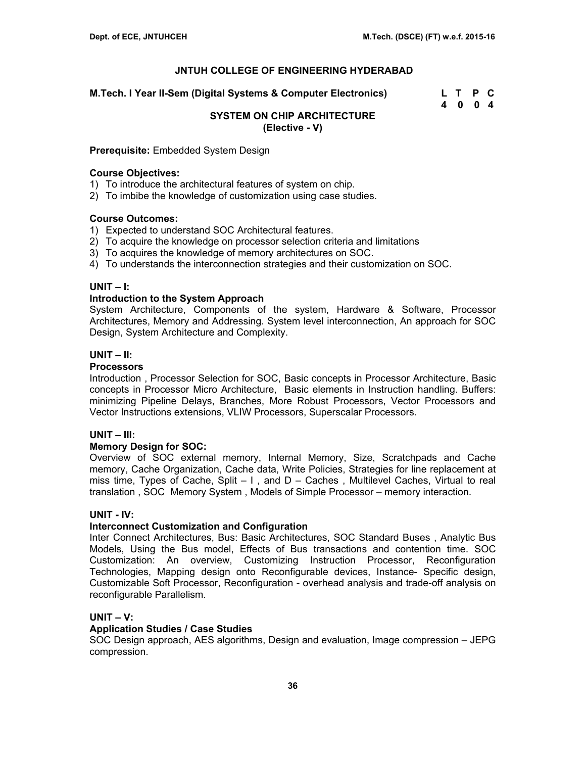**M.Tech. I Year II-Sem (Digital Systems & Computer Electronics) L T P C** 

 **4 0 0 4** 

#### **SYSTEM ON CHIP ARCHITECTURE (Elective - V)**

**Prerequisite:** Embedded System Design

### **Course Objectives:**

1) To introduce the architectural features of system on chip.

2) To imbibe the knowledge of customization using case studies.

### **Course Outcomes:**

1) Expected to understand SOC Architectural features.

- 2) To acquire the knowledge on processor selection criteria and limitations
- 3) To acquires the knowledge of memory architectures on SOC.
- 4) To understands the interconnection strategies and their customization on SOC.

### **UNIT – I:**

### **Introduction to the System Approach**

System Architecture, Components of the system, Hardware & Software, Processor Architectures, Memory and Addressing. System level interconnection, An approach for SOC Design, System Architecture and Complexity.

### **UNIT – II:**

### **Processors**

Introduction , Processor Selection for SOC, Basic concepts in Processor Architecture, Basic concepts in Processor Micro Architecture, Basic elements in Instruction handling. Buffers: minimizing Pipeline Delays, Branches, More Robust Processors, Vector Processors and Vector Instructions extensions, VLIW Processors, Superscalar Processors.

### **UNIT – III:**

#### **Memory Design for SOC:**

Overview of SOC external memory, Internal Memory, Size, Scratchpads and Cache memory, Cache Organization, Cache data, Write Policies, Strategies for line replacement at miss time, Types of Cache, Split  $-1$ , and  $D -$  Caches, Multilevel Caches, Virtual to real translation , SOC Memory System , Models of Simple Processor – memory interaction.

#### **UNIT - IV:**

### **Interconnect Customization and Configuration**

Inter Connect Architectures, Bus: Basic Architectures, SOC Standard Buses , Analytic Bus Models, Using the Bus model, Effects of Bus transactions and contention time. SOC Customization: An overview, Customizing Instruction Processor, Reconfiguration Technologies, Mapping design onto Reconfigurable devices, Instance- Specific design, Customizable Soft Processor, Reconfiguration - overhead analysis and trade-off analysis on reconfigurable Parallelism.

### **UNIT – V:**

### **Application Studies / Case Studies**

SOC Design approach, AES algorithms, Design and evaluation, Image compression – JEPG compression.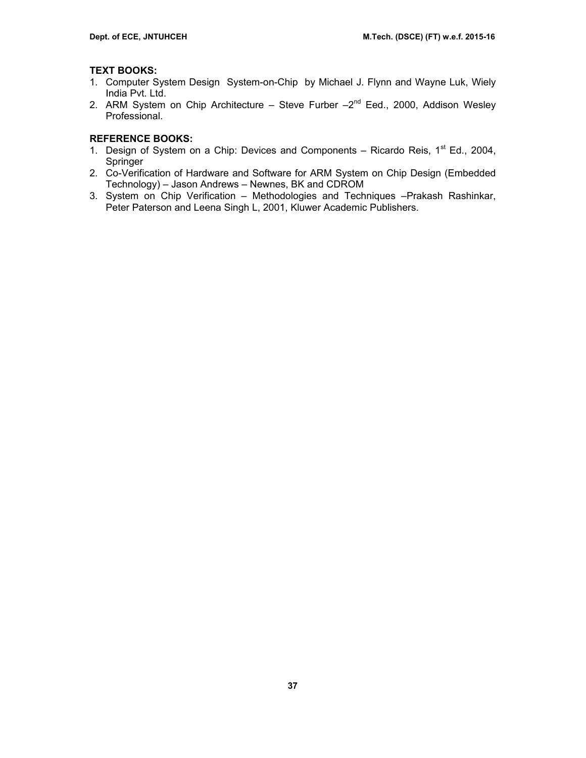## **TEXT BOOKS:**

- 1. Computer System Design System-on-Chip by Michael J. Flynn and Wayne Luk, Wiely India Pvt. Ltd.
- 2. ARM System on Chip Architecture Steve Furber  $-2^{nd}$  Eed., 2000, Addison Wesley Professional.

- 1. Design of System on a Chip: Devices and Components Ricardo Reis,  $1<sup>st</sup> Ed.$ , 2004, Springer
- 2. Co-Verification of Hardware and Software for ARM System on Chip Design (Embedded Technology) – Jason Andrews – Newnes, BK and CDROM
- 3. System on Chip Verification Methodologies and Techniques –Prakash Rashinkar, Peter Paterson and Leena Singh L, 2001, Kluwer Academic Publishers.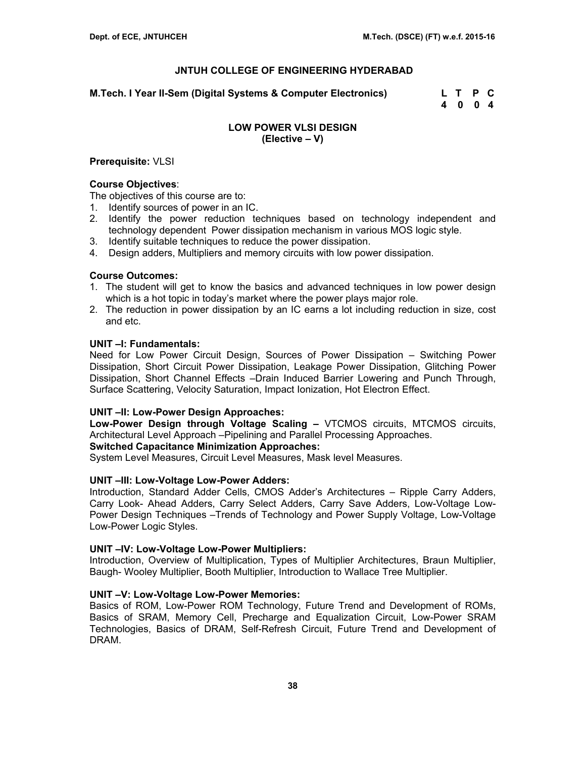**M.Tech. I Year II-Sem (Digital Systems & Computer Electronics) L T P C** 

 **4 0 0 4** 

## **LOW POWER VLSI DESIGN (Elective – V)**

### **Prerequisite:** VLSI

### **Course Objectives**:

The objectives of this course are to:

- 1. Identify sources of power in an IC.
- 2. Identify the power reduction techniques based on technology independent and technology dependent Power dissipation mechanism in various MOS logic style.
- 3. Identify suitable techniques to reduce the power dissipation.
- 4. Design adders, Multipliers and memory circuits with low power dissipation.

## **Course Outcomes:**

- 1. The student will get to know the basics and advanced techniques in low power design which is a hot topic in today's market where the power plays major role.
- 2. The reduction in power dissipation by an IC earns a lot including reduction in size, cost and etc.

## **UNIT –I: Fundamentals:**

Need for Low Power Circuit Design, Sources of Power Dissipation – Switching Power Dissipation, Short Circuit Power Dissipation, Leakage Power Dissipation, Glitching Power Dissipation, Short Channel Effects –Drain Induced Barrier Lowering and Punch Through, Surface Scattering, Velocity Saturation, Impact Ionization, Hot Electron Effect.

### **UNIT –II: Low-Power Design Approaches:**

**Low-Power Design through Voltage Scaling –** VTCMOS circuits, MTCMOS circuits, Architectural Level Approach –Pipelining and Parallel Processing Approaches.

### **Switched Capacitance Minimization Approaches:**

System Level Measures, Circuit Level Measures, Mask level Measures.

### **UNIT –III: Low-Voltage Low-Power Adders:**

Introduction, Standard Adder Cells, CMOS Adder's Architectures – Ripple Carry Adders, Carry Look- Ahead Adders, Carry Select Adders, Carry Save Adders, Low-Voltage Low-Power Design Techniques –Trends of Technology and Power Supply Voltage, Low-Voltage Low-Power Logic Styles.

### **UNIT –IV: Low-Voltage Low-Power Multipliers:**

Introduction, Overview of Multiplication, Types of Multiplier Architectures, Braun Multiplier, Baugh- Wooley Multiplier, Booth Multiplier, Introduction to Wallace Tree Multiplier.

### **UNIT –V: Low-Voltage Low-Power Memories:**

Basics of ROM, Low-Power ROM Technology, Future Trend and Development of ROMs, Basics of SRAM, Memory Cell, Precharge and Equalization Circuit, Low-Power SRAM Technologies, Basics of DRAM, Self-Refresh Circuit, Future Trend and Development of DRAM.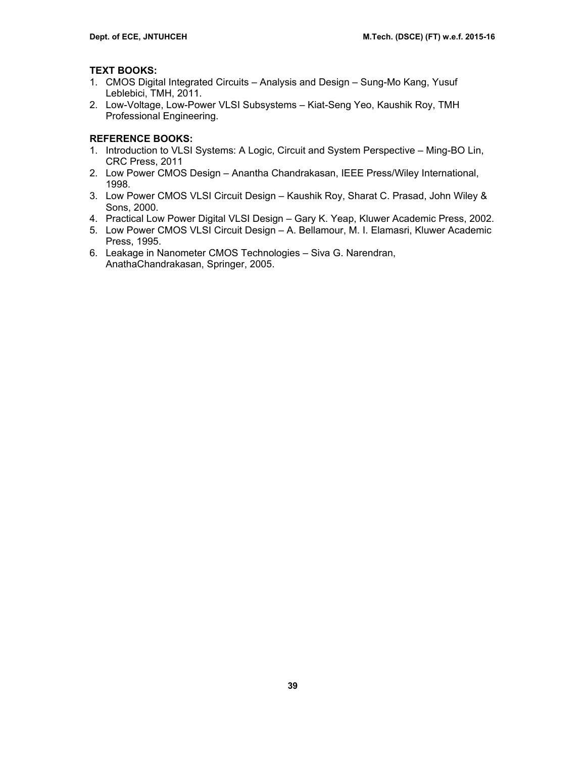## **TEXT BOOKS:**

- 1. CMOS Digital Integrated Circuits Analysis and Design Sung-Mo Kang, Yusuf Leblebici, TMH, 2011.
- 2. Low-Voltage, Low-Power VLSI Subsystems Kiat-Seng Yeo, Kaushik Roy, TMH Professional Engineering.

- 1. Introduction to VLSI Systems: A Logic, Circuit and System Perspective Ming-BO Lin, CRC Press, 2011
- 2. Low Power CMOS Design Anantha Chandrakasan, IEEE Press/Wiley International, 1998.
- 3. Low Power CMOS VLSI Circuit Design Kaushik Roy, Sharat C. Prasad, John Wiley & Sons, 2000.
- 4. Practical Low Power Digital VLSI Design Gary K. Yeap, Kluwer Academic Press, 2002.
- 5. Low Power CMOS VLSI Circuit Design A. Bellamour, M. I. Elamasri, Kluwer Academic Press, 1995.
- 6. Leakage in Nanometer CMOS Technologies Siva G. Narendran, AnathaChandrakasan, Springer, 2005.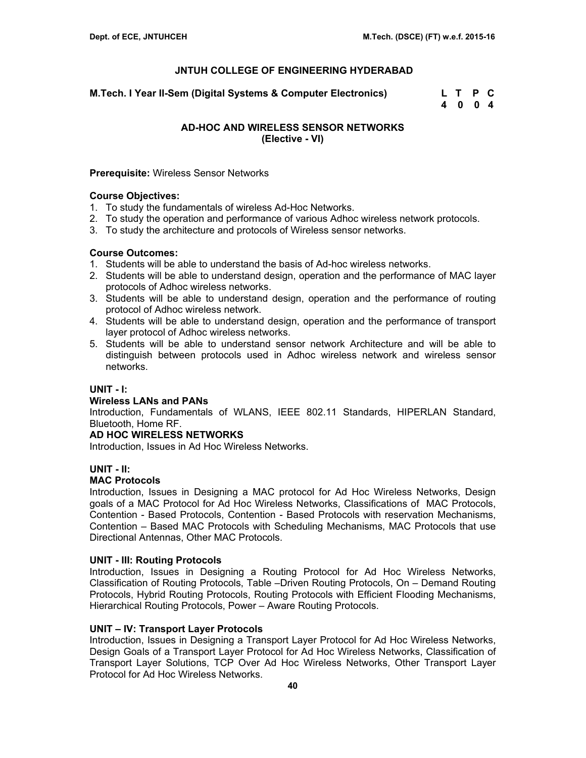**M.Tech. I Year II-Sem (Digital Systems & Computer Electronics) L T P C** 

 **4 0 0 4** 

## **AD-HOC AND WIRELESS SENSOR NETWORKS (Elective - VI)**

### **Prerequisite:** Wireless Sensor Networks

## **Course Objectives:**

- 1. To study the fundamentals of wireless Ad-Hoc Networks.
- 2. To study the operation and performance of various Adhoc wireless network protocols.
- 3. To study the architecture and protocols of Wireless sensor networks.

## **Course Outcomes:**

- 1. Students will be able to understand the basis of Ad-hoc wireless networks.
- 2. Students will be able to understand design, operation and the performance of MAC layer protocols of Adhoc wireless networks.
- 3. Students will be able to understand design, operation and the performance of routing protocol of Adhoc wireless network.
- 4. Students will be able to understand design, operation and the performance of transport layer protocol of Adhoc wireless networks.
- 5. Students will be able to understand sensor network Architecture and will be able to distinguish between protocols used in Adhoc wireless network and wireless sensor networks.

## **UNIT - I:**

## **Wireless LANs and PANs**

Introduction, Fundamentals of WLANS, IEEE 802.11 Standards, HIPERLAN Standard, Bluetooth, Home RF.

### **AD HOC WIRELESS NETWORKS**

Introduction, Issues in Ad Hoc Wireless Networks.

## **UNIT - II:**

## **MAC Protocols**

Introduction, Issues in Designing a MAC protocol for Ad Hoc Wireless Networks, Design goals of a MAC Protocol for Ad Hoc Wireless Networks, Classifications of MAC Protocols, Contention - Based Protocols, Contention - Based Protocols with reservation Mechanisms, Contention – Based MAC Protocols with Scheduling Mechanisms, MAC Protocols that use Directional Antennas, Other MAC Protocols.

### **UNIT - III: Routing Protocols**

Introduction, Issues in Designing a Routing Protocol for Ad Hoc Wireless Networks, Classification of Routing Protocols, Table –Driven Routing Protocols, On – Demand Routing Protocols, Hybrid Routing Protocols, Routing Protocols with Efficient Flooding Mechanisms, Hierarchical Routing Protocols, Power – Aware Routing Protocols.

## **UNIT – IV: Transport Layer Protocols**

Introduction, Issues in Designing a Transport Layer Protocol for Ad Hoc Wireless Networks, Design Goals of a Transport Layer Protocol for Ad Hoc Wireless Networks, Classification of Transport Layer Solutions, TCP Over Ad Hoc Wireless Networks, Other Transport Layer Protocol for Ad Hoc Wireless Networks.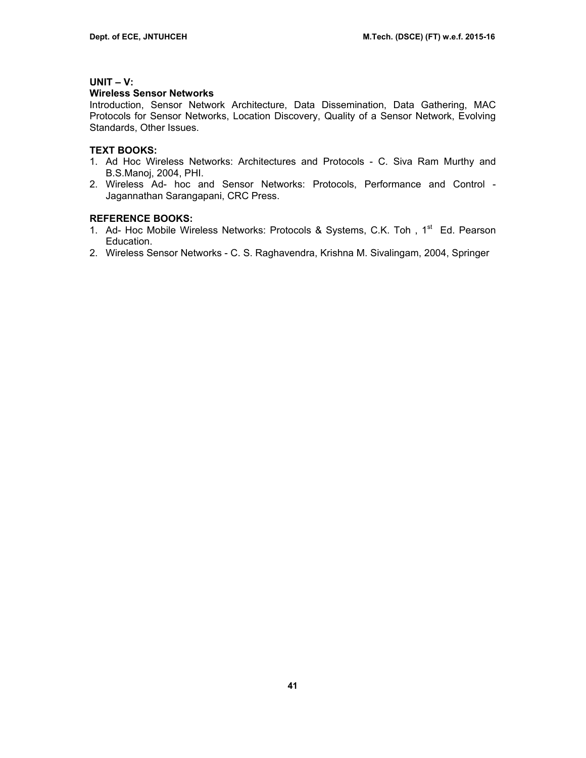## **UNIT – V:**

### **Wireless Sensor Networks**

Introduction, Sensor Network Architecture, Data Dissemination, Data Gathering, MAC Protocols for Sensor Networks, Location Discovery, Quality of a Sensor Network, Evolving Standards, Other Issues.

## **TEXT BOOKS:**

- 1. Ad Hoc Wireless Networks: Architectures and Protocols C. Siva Ram Murthy and B.S.Manoj, 2004, PHI.
- 2. Wireless Ad- hoc and Sensor Networks: Protocols, Performance and Control Jagannathan Sarangapani, CRC Press.

- 1. Ad- Hoc Mobile Wireless Networks: Protocols & Systems, C.K. Toh, 1<sup>st</sup> Ed. Pearson Education.
- 2. Wireless Sensor Networks C. S. Raghavendra, Krishna M. Sivalingam, 2004, Springer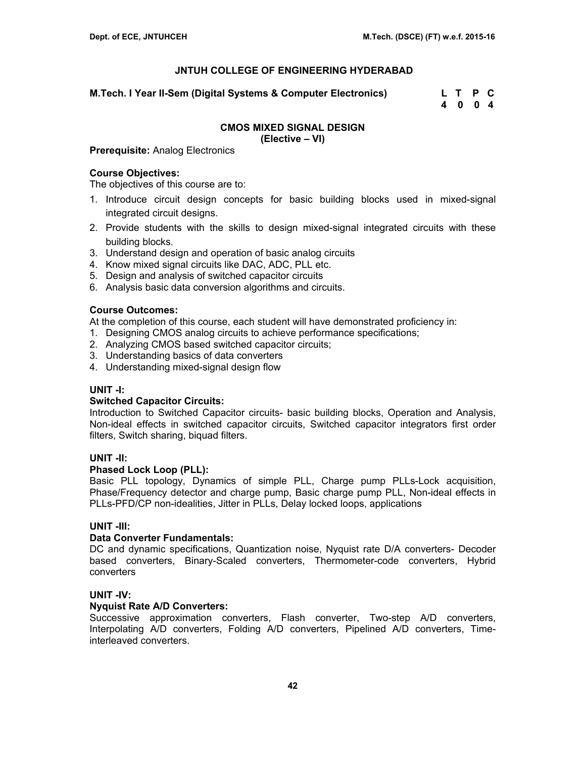**M.Tech. I Year II-Sem (Digital Systems & Computer Electronics) L T P C** 

 **4 0 0 4** 

# **CMOS MIXED SIGNAL DESIGN**

**(Elective – VI)** 

**Prerequisite:** Analog Electronics

## **Course Objectives:**

The objectives of this course are to:

- 1. Introduce circuit design concepts for basic building blocks used in mixed‐signal integrated circuit designs.
- 2. Provide students with the skills to design mixed‐signal integrated circuits with these building blocks.
- 3. Understand design and operation of basic analog circuits
- 4. Know mixed signal circuits like DAC, ADC, PLL etc.
- 5. Design and analysis of switched capacitor circuits
- 6. Analysis basic data conversion algorithms and circuits.

## **Course Outcomes:**

At the completion of this course, each student will have demonstrated proficiency in:

- 1. Designing CMOS analog circuits to achieve performance specifications;
- 2. Analyzing CMOS based switched capacitor circuits;
- 3. Understanding basics of data converters
- 4. Understanding mixed-signal design flow

## **UNIT -I:**

### **Switched Capacitor Circuits:**

Introduction to Switched Capacitor circuits- basic building blocks, Operation and Analysis, Non-ideal effects in switched capacitor circuits, Switched capacitor integrators first order filters, Switch sharing, biquad filters.

## **UNIT -II:**

### **Phased Lock Loop (PLL):**

Basic PLL topology, Dynamics of simple PLL, Charge pump PLLs-Lock acquisition, Phase/Frequency detector and charge pump, Basic charge pump PLL, Non-ideal effects in PLLs-PFD/CP non-idealities, Jitter in PLLs, Delay locked loops, applications

## **UNIT -III:**

### **Data Converter Fundamentals:**

DC and dynamic specifications, Quantization noise, Nyquist rate D/A converters- Decoder based converters, Binary-Scaled converters, Thermometer-code converters, Hybrid converters

### **UNIT -IV:**

### **Nyquist Rate A/D Converters:**

Successive approximation converters, Flash converter, Two-step A/D converters, Interpolating A/D converters, Folding A/D converters, Pipelined A/D converters, Timeinterleaved converters.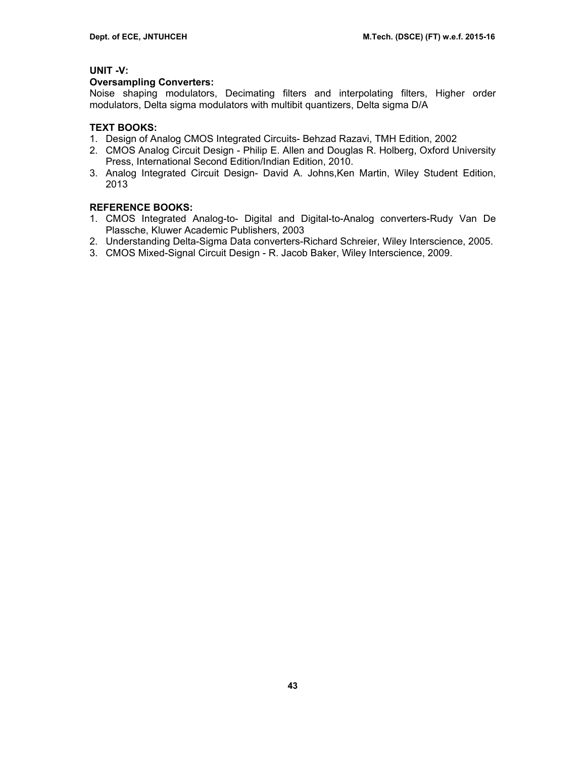## **UNIT -V:**

### **Oversampling Converters:**

Noise shaping modulators, Decimating filters and interpolating filters, Higher order modulators, Delta sigma modulators with multibit quantizers, Delta sigma D/A

## **TEXT BOOKS:**

- 1. Design of Analog CMOS Integrated Circuits- Behzad Razavi, TMH Edition, 2002
- 2. CMOS Analog Circuit Design Philip E. Allen and Douglas R. Holberg, Oxford University Press, International Second Edition/Indian Edition, 2010.
- 3. Analog Integrated Circuit Design- David A. Johns,Ken Martin, Wiley Student Edition, 2013

- 1. CMOS Integrated Analog-to- Digital and Digital-to-Analog converters-Rudy Van De Plassche, Kluwer Academic Publishers, 2003
- 2. Understanding Delta-Sigma Data converters-Richard Schreier, Wiley Interscience, 2005.
- 3. CMOS Mixed-Signal Circuit Design R. Jacob Baker, Wiley Interscience, 2009.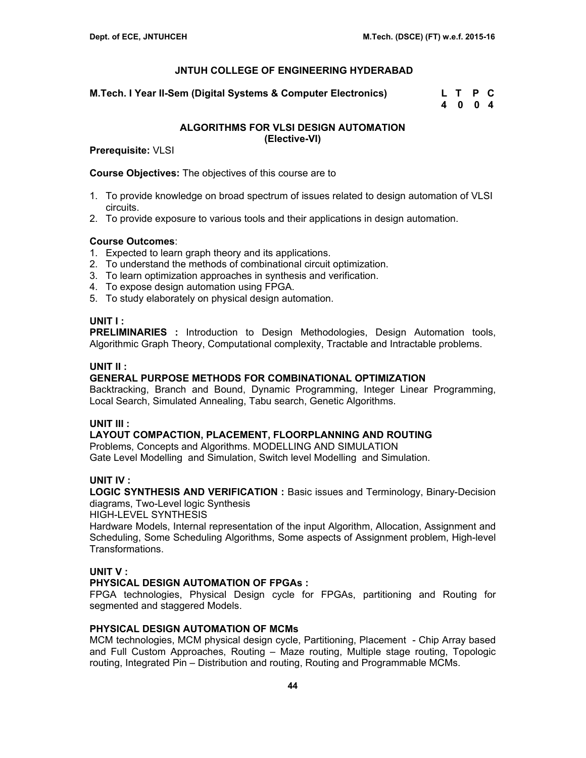**M.Tech. I Year II-Sem (Digital Systems & Computer Electronics) L T P C** 

 **4 0 0 4** 

### **ALGORITHMS FOR VLSI DESIGN AUTOMATION (Elective-VI)**

**Prerequisite:** VLSI

**Course Objectives:** The objectives of this course are to

- 1. To provide knowledge on broad spectrum of issues related to design automation of VLSI circuits.
- 2. To provide exposure to various tools and their applications in design automation.

### **Course Outcomes**:

- 1. Expected to learn graph theory and its applications.
- 2. To understand the methods of combinational circuit optimization.
- 3. To learn optimization approaches in synthesis and verification.
- 4. To expose design automation using FPGA.
- 5. To study elaborately on physical design automation.

### **UNIT I :**

**PRELIMINARIES :** Introduction to Design Methodologies, Design Automation tools, Algorithmic Graph Theory, Computational complexity, Tractable and Intractable problems.

### **UNIT II :**

## **GENERAL PURPOSE METHODS FOR COMBINATIONAL OPTIMIZATION**

Backtracking, Branch and Bound, Dynamic Programming, Integer Linear Programming, Local Search, Simulated Annealing, Tabu search, Genetic Algorithms.

### **UNIT III :**

### **LAYOUT COMPACTION, PLACEMENT, FLOORPLANNING AND ROUTING**

Problems, Concepts and Algorithms. MODELLING AND SIMULATION Gate Level Modelling and Simulation, Switch level Modelling and Simulation.

### **UNIT IV :**

**LOGIC SYNTHESIS AND VERIFICATION :** Basic issues and Terminology, Binary-Decision diagrams, Two-Level logic Synthesis

HIGH-LEVEL SYNTHESIS

Hardware Models, Internal representation of the input Algorithm, Allocation, Assignment and Scheduling, Some Scheduling Algorithms, Some aspects of Assignment problem, High-level Transformations.

### **UNIT V :**

### **PHYSICAL DESIGN AUTOMATION OF FPGAs :**

FPGA technologies, Physical Design cycle for FPGAs, partitioning and Routing for segmented and staggered Models.

### **PHYSICAL DESIGN AUTOMATION OF MCMs**

MCM technologies, MCM physical design cycle, Partitioning, Placement - Chip Array based and Full Custom Approaches, Routing – Maze routing, Multiple stage routing, Topologic routing, Integrated Pin – Distribution and routing, Routing and Programmable MCMs.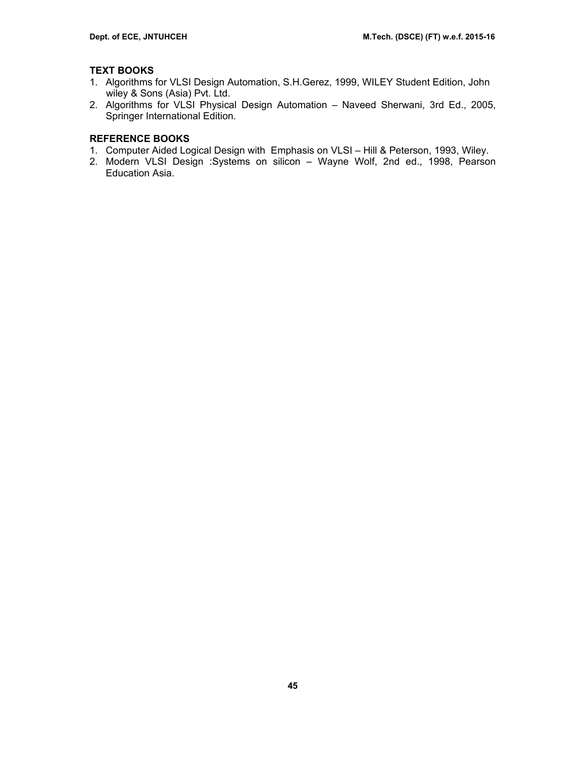## **TEXT BOOKS**

- 1. Algorithms for VLSI Design Automation, S.H.Gerez, 1999, WILEY Student Edition, John wiley & Sons (Asia) Pvt. Ltd.
- 2. Algorithms for VLSI Physical Design Automation Naveed Sherwani, 3rd Ed., 2005, Springer International Edition.

- 1. Computer Aided Logical Design with Emphasis on VLSI Hill & Peterson, 1993, Wiley.
- 2. Modern VLSI Design :Systems on silicon Wayne Wolf, 2nd ed., 1998, Pearson Education Asia.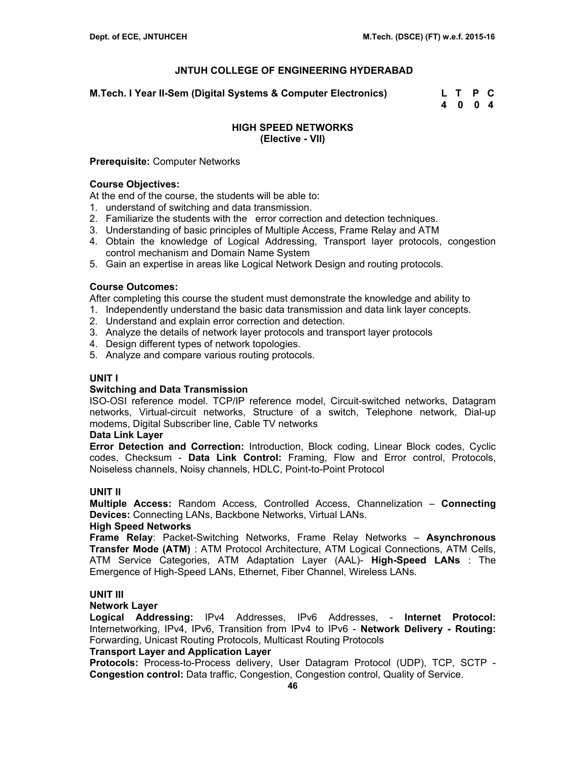**M.Tech. I Year II-Sem (Digital Systems & Computer Electronics) L T P C** 

 **4 0 0 4** 

## **HIGH SPEED NETWORKS (Elective - VII)**

### **Prerequisite:** Computer Networks

### **Course Objectives:**

At the end of the course, the students will be able to:

- 1. understand of switching and data transmission.
- 2. Familiarize the students with the error correction and detection techniques.
- 3. Understanding of basic principles of Multiple Access, Frame Relay and ATM
- 4. Obtain the knowledge of Logical Addressing, Transport layer protocols, congestion control mechanism and Domain Name System
- 5. Gain an expertise in areas like Logical Network Design and routing protocols.

### **Course Outcomes:**

After completing this course the student must demonstrate the knowledge and ability to

- 1. Independently understand the basic data transmission and data link layer concepts.
- 2. Understand and explain error correction and detection.
- 3. Analyze the details of network layer protocols and transport layer protocols
- 4. Design different types of network topologies.
- 5. Analyze and compare various routing protocols.

## **UNIT I**

### **Switching and Data Transmission**

ISO-OSI reference model. TCP/IP reference model, Circuit-switched networks, Datagram networks, Virtual-circuit networks, Structure of a switch, Telephone network, Dial-up modems, Digital Subscriber line, Cable TV networks

### **Data Link Layer**

**Error Detection and Correction:** Introduction, Block coding, Linear Block codes, Cyclic codes, Checksum - **Data Link Control:** Framing, Flow and Error control, Protocols, Noiseless channels, Noisy channels, HDLC, Point-to-Point Protocol

## **UNIT II**

**Multiple Access:** Random Access, Controlled Access, Channelization – **Connecting Devices:** Connecting LANs, Backbone Networks, Virtual LANs.

### **High Speed Networks**

**Frame Relay**: Packet-Switching Networks, Frame Relay Networks – **Asynchronous Transfer Mode (ATM)** : ATM Protocol Architecture, ATM Logical Connections, ATM Cells, ATM Service Categories, ATM Adaptation Layer (AAL)- **High-Speed LANs** : The Emergence of High-Speed LANs, Ethernet, Fiber Channel, Wireless LANs.

## **UNIT III**

### **Network Layer**

**Logical Addressing:** IPv4 Addresses, IPv6 Addresses, - **Internet Protocol:**  Internetworking, IPv4, IPv6, Transition from IPv4 to IPv6 - **Network Delivery - Routing:**  Forwarding, Unicast Routing Protocols, Multicast Routing Protocols

## **Transport Layer and Application Layer**

**Protocols:** Process-to-Process delivery, User Datagram Protocol (UDP), TCP, SCTP - **Congestion control:** Data traffic, Congestion, Congestion control, Quality of Service.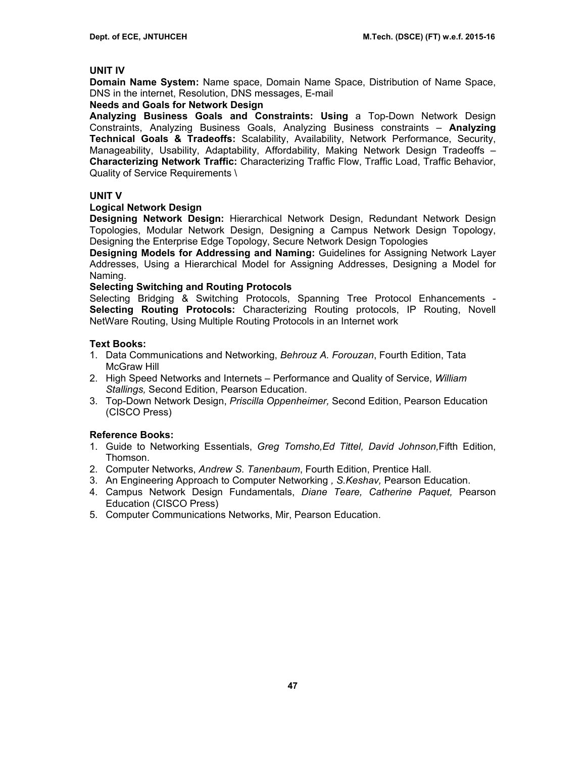### **UNIT IV**

**Domain Name System:** Name space, Domain Name Space, Distribution of Name Space, DNS in the internet, Resolution, DNS messages, E-mail

## **Needs and Goals for Network Design**

**Analyzing Business Goals and Constraints: Using** a Top-Down Network Design Constraints, Analyzing Business Goals, Analyzing Business constraints – **Analyzing Technical Goals & Tradeoffs:** Scalability, Availability, Network Performance, Security, Manageability, Usability, Adaptability, Affordability, Making Network Design Tradeoffs – **Characterizing Network Traffic:** Characterizing Traffic Flow, Traffic Load, Traffic Behavior, Quality of Service Requirements \

### **UNIT V**

## **Logical Network Design**

**Designing Network Design:** Hierarchical Network Design, Redundant Network Design Topologies, Modular Network Design, Designing a Campus Network Design Topology, Designing the Enterprise Edge Topology, Secure Network Design Topologies

**Designing Models for Addressing and Naming:** Guidelines for Assigning Network Layer Addresses, Using a Hierarchical Model for Assigning Addresses, Designing a Model for Naming.

### **Selecting Switching and Routing Protocols**

Selecting Bridging & Switching Protocols, Spanning Tree Protocol Enhancements - **Selecting Routing Protocols:** Characterizing Routing protocols, IP Routing, Novell NetWare Routing, Using Multiple Routing Protocols in an Internet work

## **Text Books:**

- 1. Data Communications and Networking, *Behrouz A. Forouzan*, Fourth Edition, Tata McGraw Hill
- 2. High Speed Networks and Internets Performance and Quality of Service, *William Stallings,* Second Edition, Pearson Education.
- 3. Top-Down Network Design, *Priscilla Oppenheimer,* Second Edition, Pearson Education (CISCO Press)

## **Reference Books:**

- 1. Guide to Networking Essentials, *Greg Tomsho,Ed Tittel, David Johnson,*Fifth Edition, Thomson.
- 2. Computer Networks, *Andrew S. Tanenbaum*, Fourth Edition, Prentice Hall.
- 3. An Engineering Approach to Computer Networking *, S.Keshav,* Pearson Education.
- 4. Campus Network Design Fundamentals, *Diane Teare, Catherine Paquet,* Pearson Education (CISCO Press)
- 5. Computer Communications Networks, Mir, Pearson Education.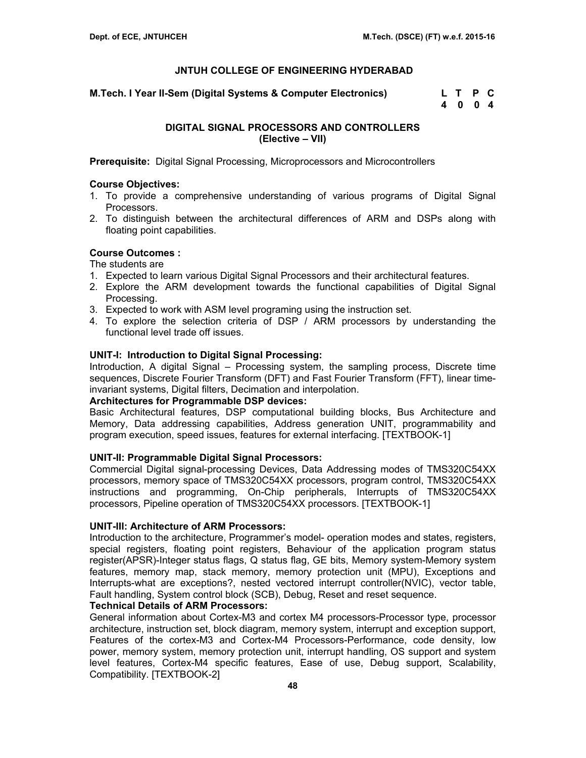**M.Tech. I Year II-Sem (Digital Systems & Computer Electronics) L T P C** 

 **4 0 0 4** 

## **DIGITAL SIGNAL PROCESSORS AND CONTROLLERS (Elective – VII)**

**Prerequisite:** Digital Signal Processing, Microprocessors and Microcontrollers

## **Course Objectives:**

- 1. To provide a comprehensive understanding of various programs of Digital Signal Processors.
- 2. To distinguish between the architectural differences of ARM and DSPs along with floating point capabilities.

## **Course Outcomes :**

The students are

- 1. Expected to learn various Digital Signal Processors and their architectural features.
- 2. Explore the ARM development towards the functional capabilities of Digital Signal Processing.
- 3. Expected to work with ASM level programing using the instruction set.
- 4. To explore the selection criteria of DSP / ARM processors by understanding the functional level trade off issues.

## **UNIT-I: Introduction to Digital Signal Processing:**

Introduction, A digital Signal – Processing system, the sampling process, Discrete time sequences, Discrete Fourier Transform (DFT) and Fast Fourier Transform (FFT), linear timeinvariant systems, Digital filters, Decimation and interpolation.

### **Architectures for Programmable DSP devices:**

Basic Architectural features, DSP computational building blocks, Bus Architecture and Memory, Data addressing capabilities, Address generation UNIT, programmability and program execution, speed issues, features for external interfacing. [TEXTBOOK-1]

## **UNIT-II: Programmable Digital Signal Processors:**

Commercial Digital signal-processing Devices, Data Addressing modes of TMS320C54XX processors, memory space of TMS320C54XX processors, program control, TMS320C54XX instructions and programming, On-Chip peripherals, Interrupts of TMS320C54XX processors, Pipeline operation of TMS320C54XX processors. [TEXTBOOK-1]

### **UNIT-III: Architecture of ARM Processors:**

Introduction to the architecture, Programmer's model- operation modes and states, registers, special registers, floating point registers, Behaviour of the application program status register(APSR)-Integer status flags, Q status flag, GE bits, Memory system-Memory system features, memory map, stack memory, memory protection unit (MPU), Exceptions and Interrupts-what are exceptions?, nested vectored interrupt controller(NVIC), vector table, Fault handling, System control block (SCB), Debug, Reset and reset sequence.

## **Technical Details of ARM Processors:**

General information about Cortex-M3 and cortex M4 processors-Processor type, processor architecture, instruction set, block diagram, memory system, interrupt and exception support, Features of the cortex-M3 and Cortex-M4 Processors-Performance, code density, low power, memory system, memory protection unit, interrupt handling, OS support and system level features, Cortex-M4 specific features, Ease of use, Debug support, Scalability, Compatibility. [TEXTBOOK-2]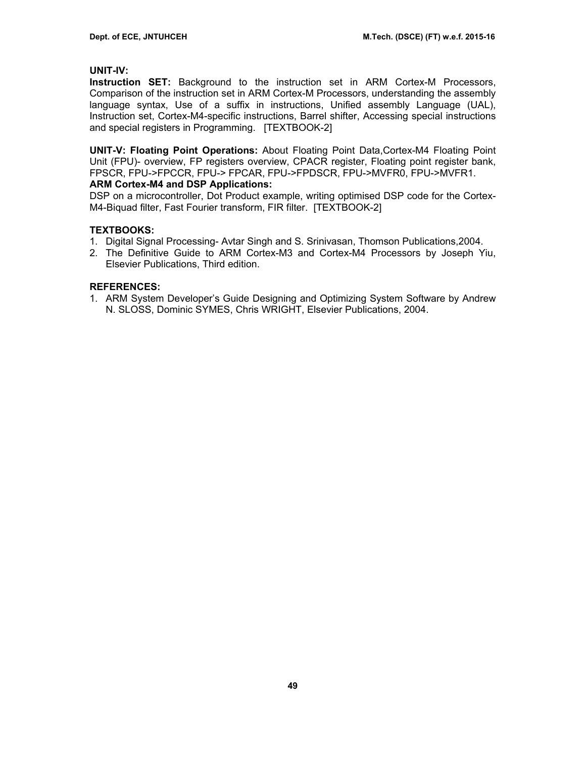## **UNIT-IV:**

**Instruction SET:** Background to the instruction set in ARM Cortex-M Processors, Comparison of the instruction set in ARM Cortex-M Processors, understanding the assembly language syntax, Use of a suffix in instructions, Unified assembly Language (UAL), Instruction set, Cortex-M4-specific instructions, Barrel shifter, Accessing special instructions and special registers in Programming. [TEXTBOOK-2]

**UNIT-V: Floating Point Operations:** About Floating Point Data,Cortex-M4 Floating Point Unit (FPU)- overview, FP registers overview, CPACR register, Floating point register bank, FPSCR, FPU->FPCCR, FPU-> FPCAR, FPU->FPDSCR, FPU->MVFR0, FPU->MVFR1.

### **ARM Cortex-M4 and DSP Applications:**

DSP on a microcontroller, Dot Product example, writing optimised DSP code for the Cortex-M4-Biquad filter, Fast Fourier transform, FIR filter. [TEXTBOOK-2]

## **TEXTBOOKS:**

- 1. Digital Signal Processing- Avtar Singh and S. Srinivasan, Thomson Publications,2004.
- 2. The Definitive Guide to ARM Cortex-M3 and Cortex-M4 Processors by Joseph Yiu, Elsevier Publications, Third edition.

### **REFERENCES:**

1. ARM System Developer's Guide Designing and Optimizing System Software by Andrew N. SLOSS, Dominic SYMES, Chris WRIGHT, Elsevier Publications, 2004.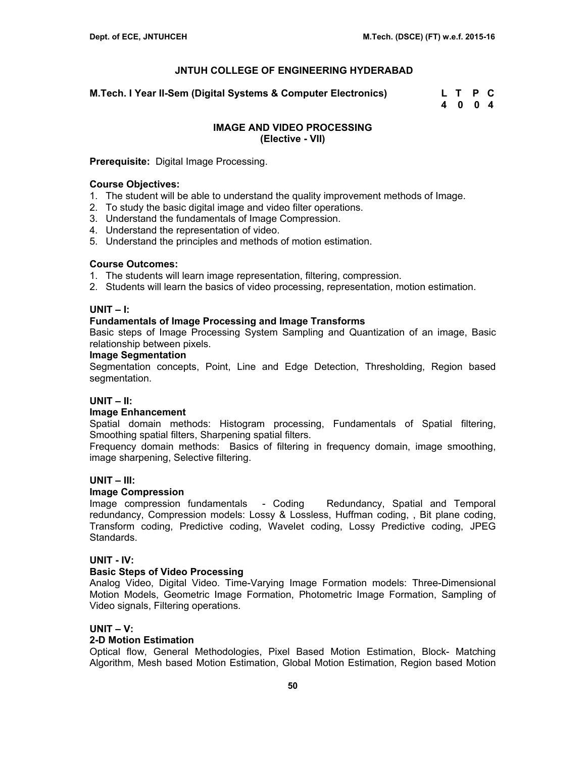**M.Tech. I Year II-Sem (Digital Systems & Computer Electronics) L T P C** 

 **4 0 0 4** 

## **IMAGE AND VIDEO PROCESSING (Elective - VII)**

## **Prerequisite:** Digital Image Processing.

### **Course Objectives:**

- 1. The student will be able to understand the quality improvement methods of Image.
- 2. To study the basic digital image and video filter operations.
- 3. Understand the fundamentals of Image Compression.
- 4. Understand the representation of video.
- 5. Understand the principles and methods of motion estimation.

### **Course Outcomes:**

- 1. The students will learn image representation, filtering, compression.
- 2. Students will learn the basics of video processing, representation, motion estimation.

## **UNIT – I:**

## **Fundamentals of Image Processing and Image Transforms**

Basic steps of Image Processing System Sampling and Quantization of an image, Basic relationship between pixels.

### **Image Segmentation**

Segmentation concepts, Point, Line and Edge Detection, Thresholding, Region based segmentation.

### **UNIT – II:**

### **Image Enhancement**

Spatial domain methods: Histogram processing, Fundamentals of Spatial filtering, Smoothing spatial filters, Sharpening spatial filters.

Frequency domain methods: Basics of filtering in frequency domain, image smoothing, image sharpening, Selective filtering.

### **UNIT – III:**

### **Image Compression**

Image compression fundamentals - Coding Redundancy, Spatial and Temporal redundancy, Compression models: Lossy & Lossless, Huffman coding, , Bit plane coding, Transform coding, Predictive coding, Wavelet coding, Lossy Predictive coding, JPEG Standards.

### **UNIT - IV:**

### **Basic Steps of Video Processing**

Analog Video, Digital Video. Time-Varying Image Formation models: Three-Dimensional Motion Models, Geometric Image Formation, Photometric Image Formation, Sampling of Video signals, Filtering operations.

### **UNIT – V:**

### **2-D Motion Estimation**

Optical flow, General Methodologies, Pixel Based Motion Estimation, Block- Matching Algorithm, Mesh based Motion Estimation, Global Motion Estimation, Region based Motion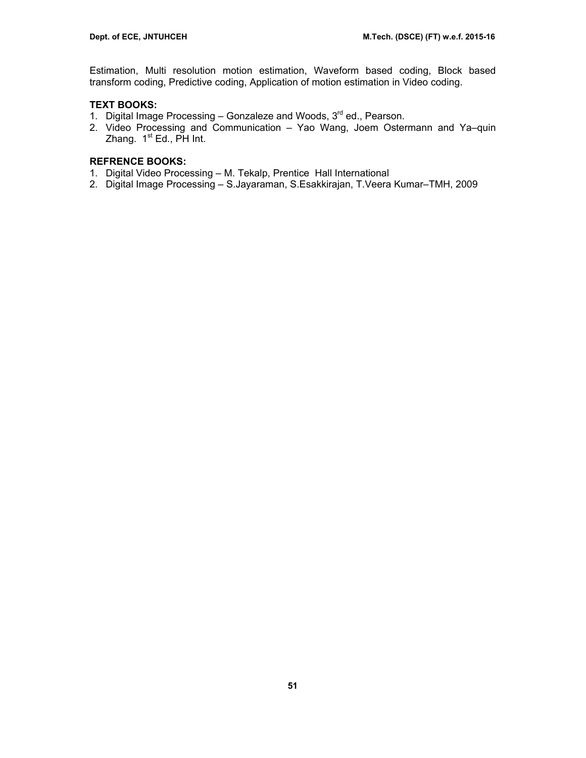Estimation, Multi resolution motion estimation, Waveform based coding, Block based transform coding, Predictive coding, Application of motion estimation in Video coding.

## **TEXT BOOKS:**

- 1. Digital Image Processing Gonzaleze and Woods, 3<sup>rd</sup> ed., Pearson.
- 2. Video Processing and Communication Yao Wang, Joem Ostermann and Ya–quin Zhang.  $1<sup>st</sup> Ed.$ , PH Int.

- 1. Digital Video Processing M. Tekalp, Prentice Hall International
- 2. Digital Image Processing S.Jayaraman, S.Esakkirajan, T.Veera Kumar–TMH, 2009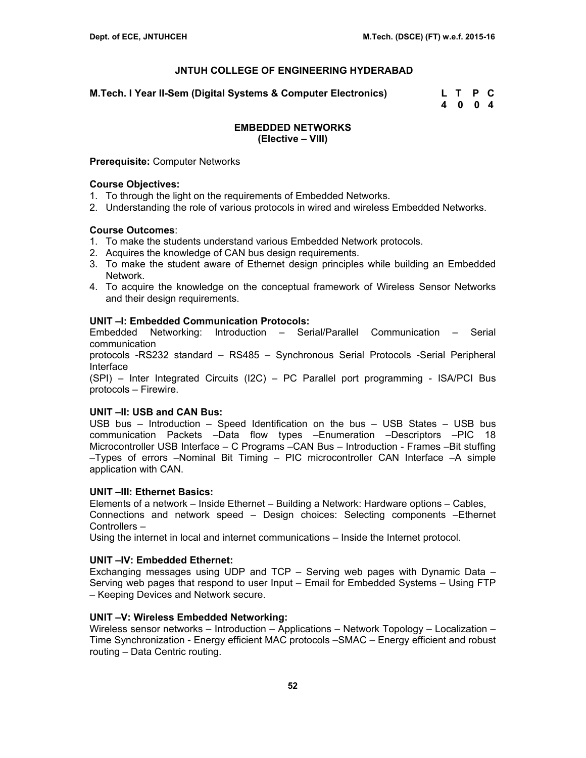**M.Tech. I Year II-Sem (Digital Systems & Computer Electronics) L T P C** 

 **4 0 0 4** 

## **EMBEDDED NETWORKS (Elective – VIII)**

### **Prerequisite:** Computer Networks

### **Course Objectives:**

- 1. To through the light on the requirements of Embedded Networks.
- 2. Understanding the role of various protocols in wired and wireless Embedded Networks.

## **Course Outcomes**:

- 1. To make the students understand various Embedded Network protocols.
- 2. Acquires the knowledge of CAN bus design requirements.
- 3. To make the student aware of Ethernet design principles while building an Embedded Network.
- 4. To acquire the knowledge on the conceptual framework of Wireless Sensor Networks and their design requirements.

## **UNIT –I: Embedded Communication Protocols:**

Embedded Networking: Introduction – Serial/Parallel Communication – Serial communication

protocols -RS232 standard – RS485 – Synchronous Serial Protocols -Serial Peripheral Interface

(SPI) – Inter Integrated Circuits (I2C) – PC Parallel port programming - ISA/PCI Bus protocols – Firewire.

### **UNIT –II: USB and CAN Bus:**

USB bus – Introduction – Speed Identification on the bus – USB States – USB bus communication Packets –Data flow types –Enumeration –Descriptors –PIC 18 Microcontroller USB Interface – C Programs –CAN Bus – Introduction - Frames –Bit stuffing –Types of errors –Nominal Bit Timing – PIC microcontroller CAN Interface –A simple application with CAN.

### **UNIT –III: Ethernet Basics:**

Elements of a network – Inside Ethernet – Building a Network: Hardware options – Cables, Connections and network speed – Design choices: Selecting components –Ethernet Controllers –

Using the internet in local and internet communications – Inside the Internet protocol.

## **UNIT –IV: Embedded Ethernet:**

Exchanging messages using UDP and TCP – Serving web pages with Dynamic Data – Serving web pages that respond to user Input – Email for Embedded Systems – Using FTP – Keeping Devices and Network secure.

### **UNIT –V: Wireless Embedded Networking:**

Wireless sensor networks – Introduction – Applications – Network Topology – Localization – Time Synchronization - Energy efficient MAC protocols –SMAC – Energy efficient and robust routing – Data Centric routing.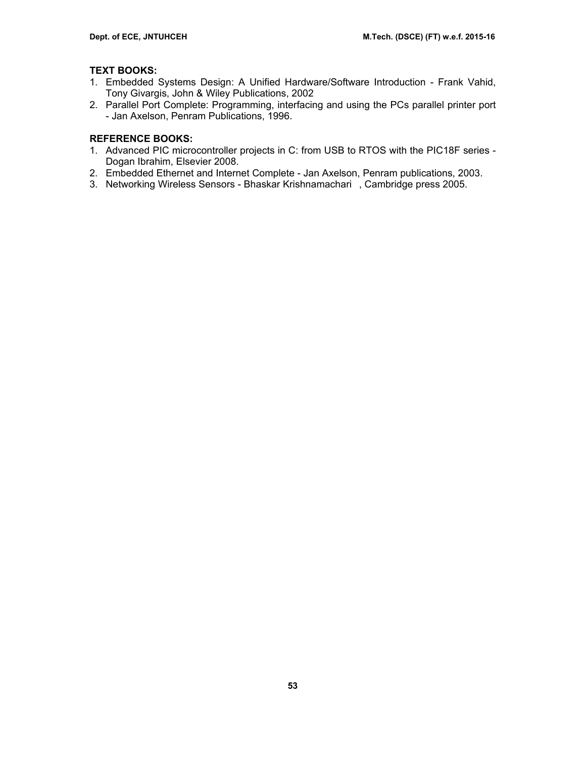## **TEXT BOOKS:**

- 1. Embedded Systems Design: A Unified Hardware/Software Introduction Frank Vahid, Tony Givargis, John & Wiley Publications, 2002
- 2. Parallel Port Complete: Programming, interfacing and using the PCs parallel printer port - Jan Axelson, Penram Publications, 1996.

- 1. Advanced PIC microcontroller projects in C: from USB to RTOS with the PIC18F series Dogan Ibrahim, Elsevier 2008.
- 2. Embedded Ethernet and Internet Complete Jan Axelson, Penram publications, 2003.
- 3. Networking Wireless Sensors Bhaskar Krishnamachari, Cambridge press 2005.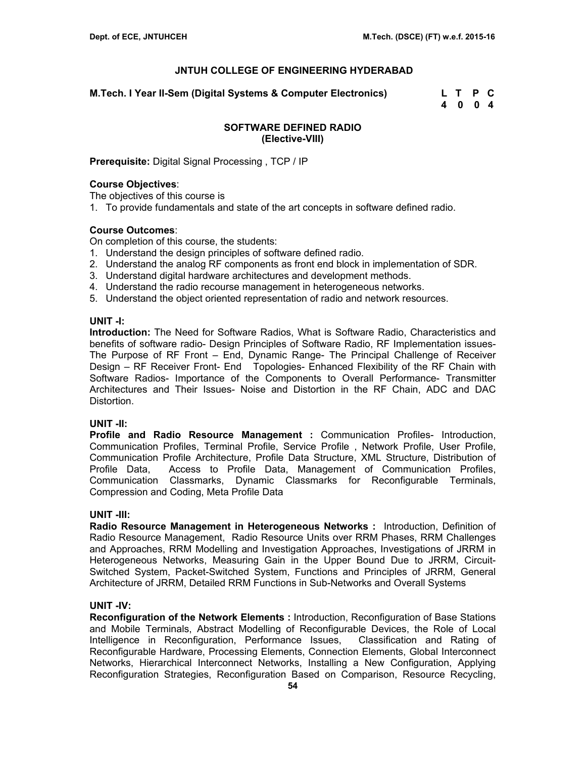**M.Tech. I Year II-Sem (Digital Systems & Computer Electronics) L T P C** 

 **4 0 0 4** 

## **SOFTWARE DEFINED RADIO (Elective-VIII)**

**Prerequisite:** Digital Signal Processing , TCP / IP

### **Course Objectives**:

The objectives of this course is

1. To provide fundamentals and state of the art concepts in software defined radio.

## **Course Outcomes**:

On completion of this course, the students:

- 1. Understand the design principles of software defined radio.
- 2. Understand the analog RF components as front end block in implementation of SDR.
- 3. Understand digital hardware architectures and development methods.
- 4. Understand the radio recourse management in heterogeneous networks.
- 5. Understand the object oriented representation of radio and network resources.

### **UNIT -I:**

**Introduction:** The Need for Software Radios, What is Software Radio, Characteristics and benefits of software radio- Design Principles of Software Radio, RF Implementation issues-The Purpose of RF Front – End, Dynamic Range- The Principal Challenge of Receiver Design – RF Receiver Front- End Topologies- Enhanced Flexibility of the RF Chain with Software Radios- Importance of the Components to Overall Performance- Transmitter Architectures and Their Issues- Noise and Distortion in the RF Chain, ADC and DAC Distortion.

### **UNIT -II:**

**Profile and Radio Resource Management :** Communication Profiles- Introduction, Communication Profiles, Terminal Profile, Service Profile , Network Profile, User Profile, Communication Profile Architecture, Profile Data Structure, XML Structure, Distribution of Profile Data, Access to Profile Data, Management of Communication Profiles, Communication Classmarks, Dynamic Classmarks for Reconfigurable Terminals, Compression and Coding, Meta Profile Data

### **UNIT -III:**

**Radio Resource Management in Heterogeneous Networks :** Introduction, Definition of Radio Resource Management, Radio Resource Units over RRM Phases, RRM Challenges and Approaches, RRM Modelling and Investigation Approaches, Investigations of JRRM in Heterogeneous Networks, Measuring Gain in the Upper Bound Due to JRRM, Circuit-Switched System, Packet-Switched System, Functions and Principles of JRRM, General Architecture of JRRM, Detailed RRM Functions in Sub-Networks and Overall Systems

### **UNIT -IV:**

**Reconfiguration of the Network Elements :** Introduction, Reconfiguration of Base Stations and Mobile Terminals, Abstract Modelling of Reconfigurable Devices, the Role of Local Intelligence in Reconfiguration, Performance Issues, Classification and Rating of Reconfigurable Hardware, Processing Elements, Connection Elements, Global Interconnect Networks, Hierarchical Interconnect Networks, Installing a New Configuration, Applying Reconfiguration Strategies, Reconfiguration Based on Comparison, Resource Recycling,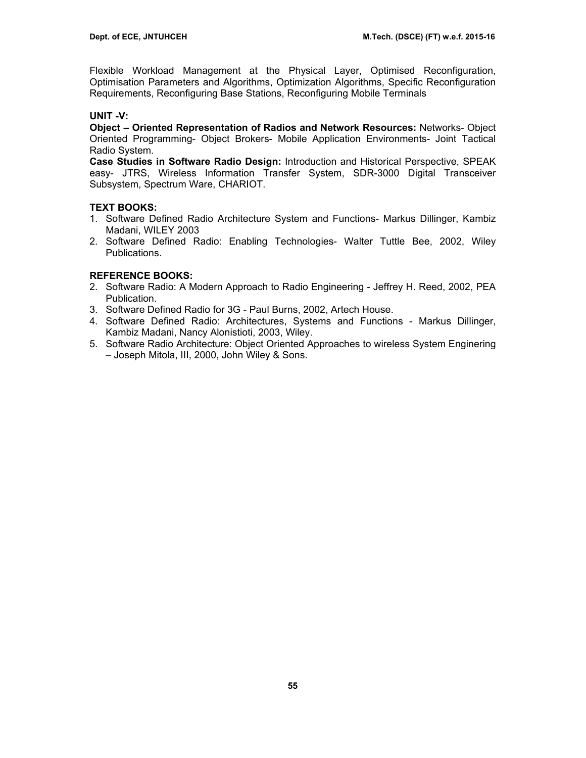Flexible Workload Management at the Physical Layer, Optimised Reconfiguration, Optimisation Parameters and Algorithms, Optimization Algorithms, Specific Reconfiguration Requirements, Reconfiguring Base Stations, Reconfiguring Mobile Terminals

## **UNIT -V:**

**Object – Oriented Representation of Radios and Network Resources:** Networks- Object Oriented Programming- Object Brokers- Mobile Application Environments- Joint Tactical Radio System.

**Case Studies in Software Radio Design:** Introduction and Historical Perspective, SPEAK easy- JTRS, Wireless Information Transfer System, SDR-3000 Digital Transceiver Subsystem, Spectrum Ware, CHARIOT.

## **TEXT BOOKS:**

- 1. Software Defined Radio Architecture System and Functions- Markus Dillinger, Kambiz Madani, WILEY 2003
- 2. Software Defined Radio: Enabling Technologies- Walter Tuttle Bee, 2002, Wiley Publications.

- 2. Software Radio: A Modern Approach to Radio Engineering Jeffrey H. Reed, 2002, PEA Publication.
- 3. Software Defined Radio for 3G Paul Burns, 2002, Artech House.
- 4. Software Defined Radio: Architectures, Systems and Functions Markus Dillinger, Kambiz Madani, Nancy Alonistioti, 2003, Wiley.
- 5. Software Radio Architecture: Object Oriented Approaches to wireless System Enginering – Joseph Mitola, III, 2000, John Wiley & Sons.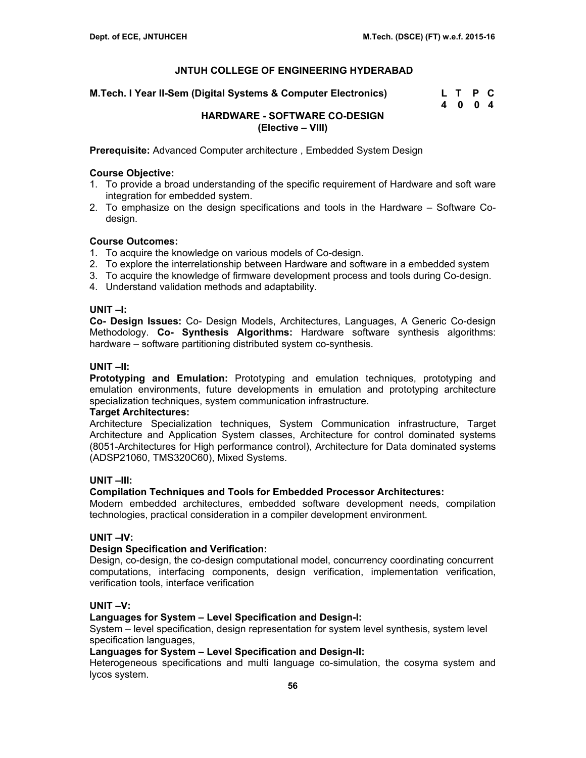**M.Tech. I Year II-Sem (Digital Systems & Computer Electronics) L T P C** 

| L |   | Р | C              |
|---|---|---|----------------|
| 4 | 0 | 0 | $\overline{4}$ |

## **HARDWARE - SOFTWARE CO-DESIGN (Elective – VIII)**

**Prerequisite:** Advanced Computer architecture , Embedded System Design

## **Course Objective:**

- 1. To provide a broad understanding of the specific requirement of Hardware and soft ware integration for embedded system.
- 2. To emphasize on the design specifications and tools in the Hardware Software Codesign.

## **Course Outcomes:**

- 1. To acquire the knowledge on various models of Co-design.
- 2. To explore the interrelationship between Hardware and software in a embedded system
- 3. To acquire the knowledge of firmware development process and tools during Co-design.
- 4. Understand validation methods and adaptability.

### **UNIT –I:**

**Co- Design Issues:** Co- Design Models, Architectures, Languages, A Generic Co-design Methodology. **Co- Synthesis Algorithms:** Hardware software synthesis algorithms: hardware – software partitioning distributed system co-synthesis.

### **UNIT –II:**

**Prototyping and Emulation:** Prototyping and emulation techniques, prototyping and emulation environments, future developments in emulation and prototyping architecture specialization techniques, system communication infrastructure.

### **Target Architectures:**

Architecture Specialization techniques, System Communication infrastructure, Target Architecture and Application System classes, Architecture for control dominated systems (8051-Architectures for High performance control), Architecture for Data dominated systems (ADSP21060, TMS320C60), Mixed Systems.

### **UNIT –III:**

### **Compilation Techniques and Tools for Embedded Processor Architectures:**

Modern embedded architectures, embedded software development needs, compilation technologies, practical consideration in a compiler development environment.

## **UNIT –IV:**

### **Design Specification and Verification:**

Design, co-design, the co-design computational model, concurrency coordinating concurrent computations, interfacing components, design verification, implementation verification, verification tools, interface verification

### **UNIT –V:**

### **Languages for System – Level Specification and Design-I:**

System – level specification, design representation for system level synthesis, system level specification languages,

### **Languages for System – Level Specification and Design-II:**

Heterogeneous specifications and multi language co-simulation, the cosyma system and lycos system.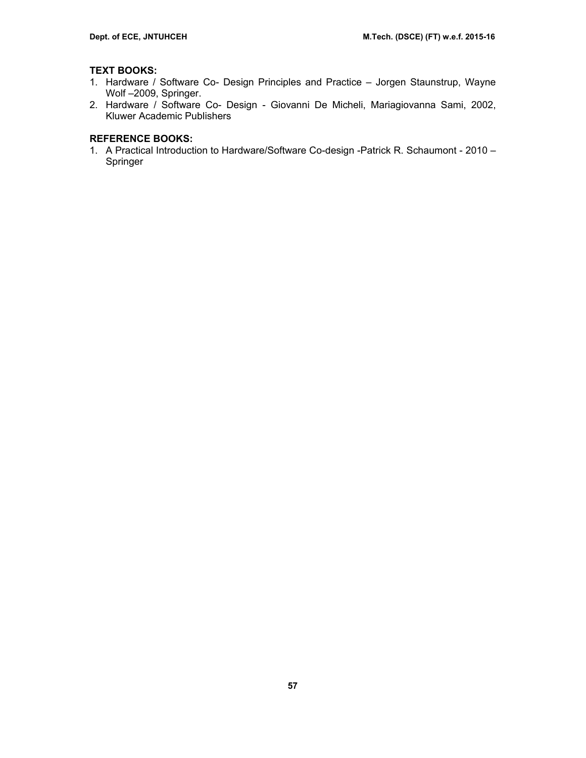## **TEXT BOOKS:**

- 1. Hardware / Software Co- Design Principles and Practice Jorgen Staunstrup, Wayne Wolf –2009, Springer.
- 2. Hardware / Software Co- Design Giovanni De Micheli, Mariagiovanna Sami, 2002, Kluwer Academic Publishers

## **REFERENCE BOOKS:**

1. A Practical Introduction to Hardware/Software Co-design -Patrick R. Schaumont - 2010 – Springer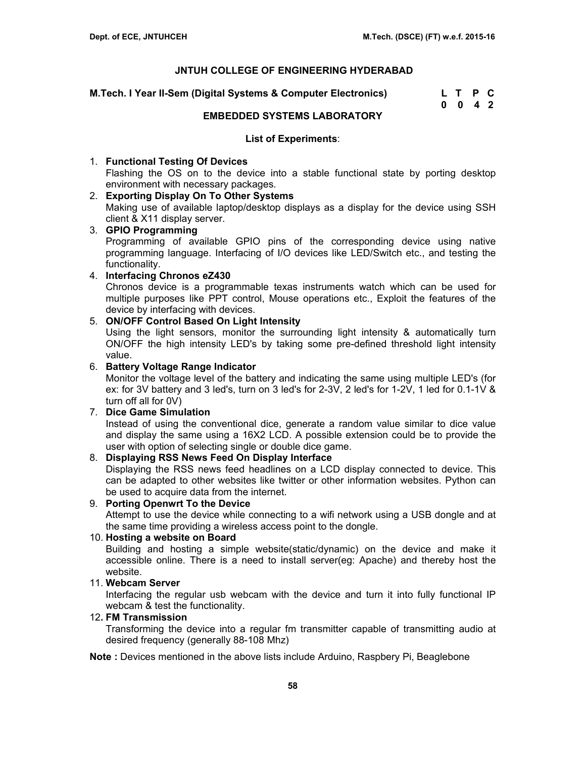**M.Tech. I Year II-Sem (Digital Systems & Computer Electronics) Letter** 

| M.Tech. I Year II-Sem (Digital Systems & Computer Electronics) | L T P C            |  |
|----------------------------------------------------------------|--------------------|--|
|                                                                | $0 \t 0 \t 4 \t 2$ |  |

### **EMBEDDED SYSTEMS LABORATORY**

### **List of Experiments**:

## 1. **Functional Testing Of Devices**

Flashing the OS on to the device into a stable functional state by porting desktop environment with necessary packages.

### 2. **Exporting Display On To Other Systems**

Making use of available laptop/desktop displays as a display for the device using SSH client & X11 display server.

## 3. **GPIO Programming** Programming of available GPIO pins of the corresponding device using native programming language. Interfacing of I/O devices like LED/Switch etc., and testing the functionality.

## 4. **Interfacing Chronos eZ430**

Chronos device is a programmable texas instruments watch which can be used for multiple purposes like PPT control, Mouse operations etc., Exploit the features of the device by interfacing with devices.

## 5. **ON/OFF Control Based On Light Intensity**

Using the light sensors, monitor the surrounding light intensity & automatically turn ON/OFF the high intensity LED's by taking some pre-defined threshold light intensity value.

## 6. **Battery Voltage Range Indicator**

Monitor the voltage level of the battery and indicating the same using multiple LED's (for ex: for 3V battery and 3 led's, turn on 3 led's for 2-3V, 2 led's for 1-2V, 1 led for 0.1-1V & turn off all for 0V)

### 7. **Dice Game Simulation**

Instead of using the conventional dice, generate a random value similar to dice value and display the same using a 16X2 LCD. A possible extension could be to provide the user with option of selecting single or double dice game.

## 8. **Displaying RSS News Feed On Display Interface**

Displaying the RSS news feed headlines on a LCD display connected to device. This can be adapted to other websites like twitter or other information websites. Python can be used to acquire data from the internet.

### 9. **Porting Openwrt To the Device**

Attempt to use the device while connecting to a wifi network using a USB dongle and at the same time providing a wireless access point to the dongle.

### 10. **Hosting a website on Board**

Building and hosting a simple website(static/dynamic) on the device and make it accessible online. There is a need to install server(eg: Apache) and thereby host the website.

### 11. **Webcam Server**

Interfacing the regular usb webcam with the device and turn it into fully functional IP webcam & test the functionality.

### 12**. FM Transmission**

Transforming the device into a regular fm transmitter capable of transmitting audio at desired frequency (generally 88-108 Mhz)

**Note :** Devices mentioned in the above lists include Arduino, Raspbery Pi, Beaglebone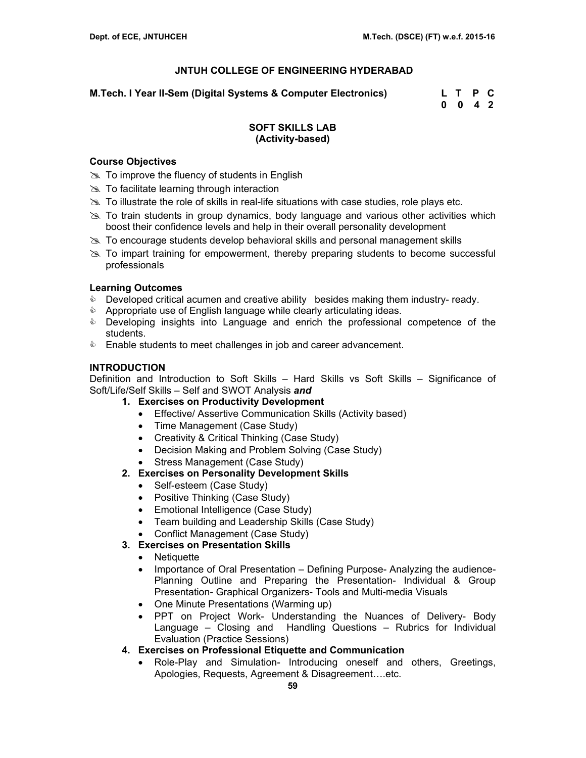**M.Tech. I Year II-Sem (Digital Systems & Computer Electronics) L T P C** 

 **0 0 4 2** 

## **SOFT SKILLS LAB (Activity-based)**

### **Course Objectives**

- $\gg$  To improve the fluency of students in English
- $\gg$  To facilitate learning through interaction
- $\gg$  To illustrate the role of skills in real-life situations with case studies, role plays etc.
- $\geq$  To train students in group dynamics, body language and various other activities which boost their confidence levels and help in their overall personality development
- $\geq$  To encourage students develop behavioral skills and personal management skills
- $\gg$  To impart training for empowerment, thereby preparing students to become successful professionals

### **Learning Outcomes**

- **Developed critical acumen and creative ability besides making them industry- ready.**
- **EXECT Appropriate use of English language while clearly articulating ideas.**
- **EXE** Developing insights into Language and enrich the professional competence of the students.
- **Enable students to meet challenges in job and career advancement.**

## **INTRODUCTION**

Definition and Introduction to Soft Skills – Hard Skills vs Soft Skills – Significance of Soft/Life/Self Skills – Self and SWOT Analysis *and*

- **1. Exercises on Productivity Development** 
	- Effective/ Assertive Communication Skills (Activity based)
	- Time Management (Case Study)
	- Creativity & Critical Thinking (Case Study)
	- Decision Making and Problem Solving (Case Study)
	- Stress Management (Case Study)
- **2. Exercises on Personality Development Skills** 
	- Self-esteem (Case Study)
	- Positive Thinking (Case Study)
	- Emotional Intelligence (Case Study)
	- Team building and Leadership Skills (Case Study)
	- Conflict Management (Case Study)
- **3. Exercises on Presentation Skills** 
	- Netiquette
	- Importance of Oral Presentation Defining Purpose- Analyzing the audience-Planning Outline and Preparing the Presentation- Individual & Group Presentation- Graphical Organizers- Tools and Multi-media Visuals
	- One Minute Presentations (Warming up)
	- PPT on Project Work- Understanding the Nuances of Delivery- Body Language – Closing and Handling Questions – Rubrics for Individual Evaluation (Practice Sessions)
- **4. Exercises on Professional Etiquette and Communication** 
	- Role-Play and Simulation- Introducing oneself and others, Greetings, Apologies, Requests, Agreement & Disagreement….etc.